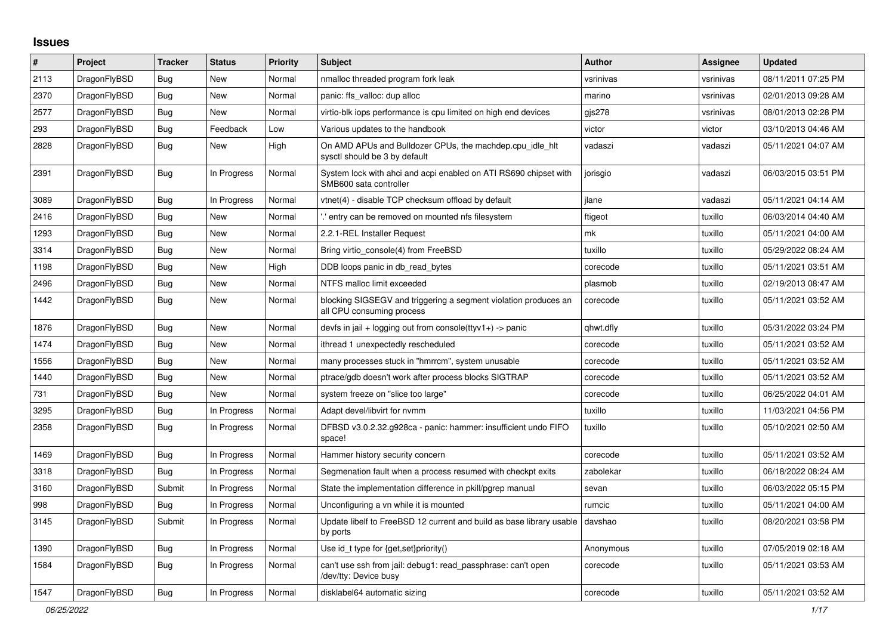## **Issues**

| #    | Project      | <b>Tracker</b> | <b>Status</b> | <b>Priority</b> | <b>Subject</b>                                                                               | <b>Author</b> | Assignee  | <b>Updated</b>      |
|------|--------------|----------------|---------------|-----------------|----------------------------------------------------------------------------------------------|---------------|-----------|---------------------|
| 2113 | DragonFlyBSD | <b>Bug</b>     | New           | Normal          | nmalloc threaded program fork leak                                                           | vsrinivas     | vsrinivas | 08/11/2011 07:25 PM |
| 2370 | DragonFlyBSD | <b>Bug</b>     | New           | Normal          | panic: ffs valloc: dup alloc                                                                 | marino        | vsrinivas | 02/01/2013 09:28 AM |
| 2577 | DragonFlyBSD | Bug            | New           | Normal          | virtio-blk iops performance is cpu limited on high end devices                               | gjs278        | vsrinivas | 08/01/2013 02:28 PM |
| 293  | DragonFlyBSD | Bug            | Feedback      | Low             | Various updates to the handbook                                                              | victor        | victor    | 03/10/2013 04:46 AM |
| 2828 | DragonFlyBSD | <b>Bug</b>     | New           | High            | On AMD APUs and Bulldozer CPUs, the machdep.cpu idle hit<br>sysctl should be 3 by default    | vadaszi       | vadaszi   | 05/11/2021 04:07 AM |
| 2391 | DragonFlyBSD | <b>Bug</b>     | In Progress   | Normal          | System lock with ahci and acpi enabled on ATI RS690 chipset with<br>SMB600 sata controller   | jorisgio      | vadaszi   | 06/03/2015 03:51 PM |
| 3089 | DragonFlyBSD | Bug            | In Progress   | Normal          | vtnet(4) - disable TCP checksum offload by default                                           | ilane         | vadaszi   | 05/11/2021 04:14 AM |
| 2416 | DragonFlyBSD | Bug            | New           | Normal          | ".' entry can be removed on mounted nfs filesystem                                           | ftigeot       | tuxillo   | 06/03/2014 04:40 AM |
| 1293 | DragonFlyBSD | Bug            | New           | Normal          | 2.2.1-REL Installer Request                                                                  | mk            | tuxillo   | 05/11/2021 04:00 AM |
| 3314 | DragonFlyBSD | <b>Bug</b>     | New           | Normal          | Bring virtio_console(4) from FreeBSD                                                         | tuxillo       | tuxillo   | 05/29/2022 08:24 AM |
| 1198 | DragonFlyBSD | Bug            | New           | High            | DDB loops panic in db read bytes                                                             | corecode      | tuxillo   | 05/11/2021 03:51 AM |
| 2496 | DragonFlyBSD | Bug            | New           | Normal          | NTFS malloc limit exceeded                                                                   | plasmob       | tuxillo   | 02/19/2013 08:47 AM |
| 1442 | DragonFlyBSD | Bug            | New           | Normal          | blocking SIGSEGV and triggering a segment violation produces an<br>all CPU consuming process | corecode      | tuxillo   | 05/11/2021 03:52 AM |
| 1876 | DragonFlyBSD | <b>Bug</b>     | New           | Normal          | devfs in jail + logging out from console(ttyv1+) -> panic                                    | qhwt.dfly     | tuxillo   | 05/31/2022 03:24 PM |
| 1474 | DragonFlyBSD | Bug            | New           | Normal          | ithread 1 unexpectedly rescheduled                                                           | corecode      | tuxillo   | 05/11/2021 03:52 AM |
| 1556 | DragonFlyBSD | Bug            | New           | Normal          | many processes stuck in "hmrrcm", system unusable                                            | corecode      | tuxillo   | 05/11/2021 03:52 AM |
| 1440 | DragonFlyBSD | Bug            | New           | Normal          | ptrace/gdb doesn't work after process blocks SIGTRAP                                         | corecode      | tuxillo   | 05/11/2021 03:52 AM |
| 731  | DragonFlyBSD | Bug            | New           | Normal          | system freeze on "slice too large"                                                           | corecode      | tuxillo   | 06/25/2022 04:01 AM |
| 3295 | DragonFlyBSD | Bug            | In Progress   | Normal          | Adapt devel/libvirt for nymm                                                                 | tuxillo       | tuxillo   | 11/03/2021 04:56 PM |
| 2358 | DragonFlyBSD | <b>Bug</b>     | In Progress   | Normal          | DFBSD v3.0.2.32.g928ca - panic: hammer: insufficient undo FIFO<br>space!                     | tuxillo       | tuxillo   | 05/10/2021 02:50 AM |
| 1469 | DragonFlyBSD | Bug            | In Progress   | Normal          | Hammer history security concern                                                              | corecode      | tuxillo   | 05/11/2021 03:52 AM |
| 3318 | DragonFlyBSD | Bug            | In Progress   | Normal          | Segmenation fault when a process resumed with checkpt exits                                  | zabolekar     | tuxillo   | 06/18/2022 08:24 AM |
| 3160 | DragonFlyBSD | Submit         | In Progress   | Normal          | State the implementation difference in pkill/pgrep manual                                    | sevan         | tuxillo   | 06/03/2022 05:15 PM |
| 998  | DragonFlyBSD | <b>Bug</b>     | In Progress   | Normal          | Unconfiguring a vn while it is mounted                                                       | rumcic        | tuxillo   | 05/11/2021 04:00 AM |
| 3145 | DragonFlyBSD | Submit         | In Progress   | Normal          | Update libelf to FreeBSD 12 current and build as base library usable<br>by ports             | davshao       | tuxillo   | 08/20/2021 03:58 PM |
| 1390 | DragonFlyBSD | Bug            | In Progress   | Normal          | Use id_t type for {get, set}priority()                                                       | Anonymous     | tuxillo   | 07/05/2019 02:18 AM |
| 1584 | DragonFlyBSD | Bug            | In Progress   | Normal          | can't use ssh from jail: debug1: read passphrase: can't open<br>/dev/tty: Device busy        | corecode      | tuxillo   | 05/11/2021 03:53 AM |
| 1547 | DragonFlyBSD | Bug            | In Progress   | Normal          | disklabel64 automatic sizing                                                                 | corecode      | tuxillo   | 05/11/2021 03:52 AM |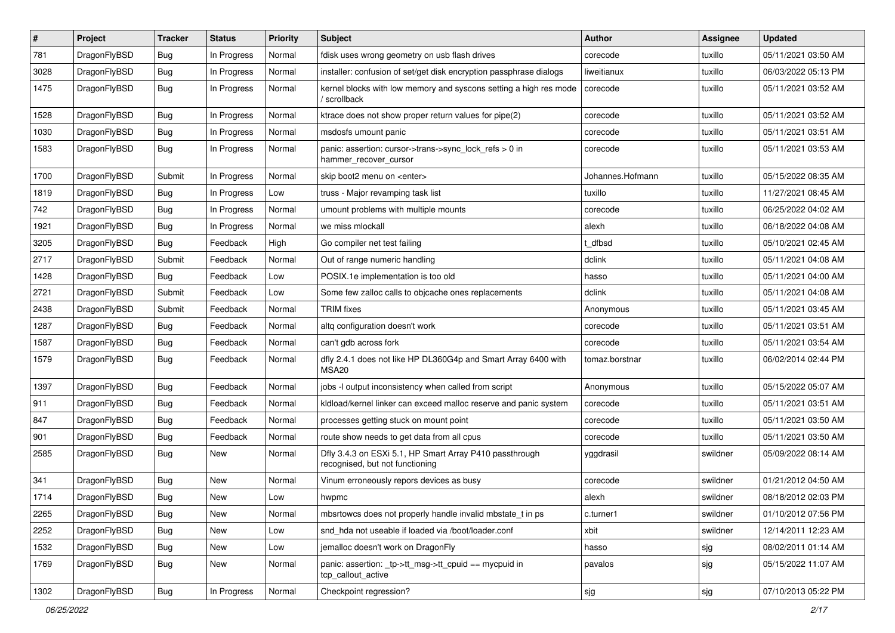| #    | Project      | <b>Tracker</b> | <b>Status</b> | <b>Priority</b> | Subject                                                                                    | <b>Author</b>    | Assignee | <b>Updated</b>      |
|------|--------------|----------------|---------------|-----------------|--------------------------------------------------------------------------------------------|------------------|----------|---------------------|
| 781  | DragonFlyBSD | <b>Bug</b>     | In Progress   | Normal          | fdisk uses wrong geometry on usb flash drives                                              | corecode         | tuxillo  | 05/11/2021 03:50 AM |
| 3028 | DragonFlyBSD | Bug            | In Progress   | Normal          | installer: confusion of set/get disk encryption passphrase dialogs                         | liweitianux      | tuxillo  | 06/03/2022 05:13 PM |
| 1475 | DragonFlyBSD | <b>Bug</b>     | In Progress   | Normal          | kernel blocks with low memory and syscons setting a high res mode<br>/ scrollback          | corecode         | tuxillo  | 05/11/2021 03:52 AM |
| 1528 | DragonFlyBSD | Bug            | In Progress   | Normal          | ktrace does not show proper return values for pipe(2)                                      | corecode         | tuxillo  | 05/11/2021 03:52 AM |
| 1030 | DragonFlyBSD | <b>Bug</b>     | In Progress   | Normal          | msdosfs umount panic                                                                       | corecode         | tuxillo  | 05/11/2021 03:51 AM |
| 1583 | DragonFlyBSD | <b>Bug</b>     | In Progress   | Normal          | panic: assertion: cursor->trans->sync_lock_refs > 0 in<br>hammer recover cursor            | corecode         | tuxillo  | 05/11/2021 03:53 AM |
| 1700 | DragonFlyBSD | Submit         | In Progress   | Normal          | skip boot2 menu on <enter></enter>                                                         | Johannes.Hofmann | tuxillo  | 05/15/2022 08:35 AM |
| 1819 | DragonFlyBSD | Bug            | In Progress   | Low             | truss - Major revamping task list                                                          | tuxillo          | tuxillo  | 11/27/2021 08:45 AM |
| 742  | DragonFlyBSD | <b>Bug</b>     | In Progress   | Normal          | umount problems with multiple mounts                                                       | corecode         | tuxillo  | 06/25/2022 04:02 AM |
| 1921 | DragonFlyBSD | <b>Bug</b>     | In Progress   | Normal          | we miss mlockall                                                                           | alexh            | tuxillo  | 06/18/2022 04:08 AM |
| 3205 | DragonFlyBSD | Bug            | Feedback      | High            | Go compiler net test failing                                                               | t dfbsd          | tuxillo  | 05/10/2021 02:45 AM |
| 2717 | DragonFlyBSD | Submit         | Feedback      | Normal          | Out of range numeric handling                                                              | dclink           | tuxillo  | 05/11/2021 04:08 AM |
| 1428 | DragonFlyBSD | Bug            | Feedback      | Low             | POSIX.1e implementation is too old                                                         | hasso            | tuxillo  | 05/11/2021 04:00 AM |
| 2721 | DragonFlyBSD | Submit         | Feedback      | Low             | Some few zalloc calls to objcache ones replacements                                        | dclink           | tuxillo  | 05/11/2021 04:08 AM |
| 2438 | DragonFlyBSD | Submit         | Feedback      | Normal          | <b>TRIM</b> fixes                                                                          | Anonymous        | tuxillo  | 05/11/2021 03:45 AM |
| 1287 | DragonFlyBSD | Bug            | Feedback      | Normal          | altg configuration doesn't work                                                            | corecode         | tuxillo  | 05/11/2021 03:51 AM |
| 1587 | DragonFlyBSD | <b>Bug</b>     | Feedback      | Normal          | can't gdb across fork                                                                      | corecode         | tuxillo  | 05/11/2021 03:54 AM |
| 1579 | DragonFlyBSD | <b>Bug</b>     | Feedback      | Normal          | dfly 2.4.1 does not like HP DL360G4p and Smart Array 6400 with<br>MSA20                    | tomaz.borstnar   | tuxillo  | 06/02/2014 02:44 PM |
| 1397 | DragonFlyBSD | Bug            | Feedback      | Normal          | jobs -I output inconsistency when called from script                                       | Anonymous        | tuxillo  | 05/15/2022 05:07 AM |
| 911  | DragonFlyBSD | Bug            | Feedback      | Normal          | kldload/kernel linker can exceed malloc reserve and panic system                           | corecode         | tuxillo  | 05/11/2021 03:51 AM |
| 847  | DragonFlyBSD | <b>Bug</b>     | Feedback      | Normal          | processes getting stuck on mount point                                                     | corecode         | tuxillo  | 05/11/2021 03:50 AM |
| 901  | DragonFlyBSD | <b>Bug</b>     | Feedback      | Normal          | route show needs to get data from all cpus                                                 | corecode         | tuxillo  | 05/11/2021 03:50 AM |
| 2585 | DragonFlyBSD | Bug            | New           | Normal          | Dfly 3.4.3 on ESXi 5.1, HP Smart Array P410 passthrough<br>recognised, but not functioning | yggdrasil        | swildner | 05/09/2022 08:14 AM |
| 341  | DragonFlyBSD | Bug            | <b>New</b>    | Normal          | Vinum erroneously repors devices as busy                                                   | corecode         | swildner | 01/21/2012 04:50 AM |
| 1714 | DragonFlyBSD | Bug            | New           | Low             | hwpmc                                                                                      | alexh            | swildner | 08/18/2012 02:03 PM |
| 2265 | DragonFlyBSD | <b>Bug</b>     | New           | Normal          | mbsrtowcs does not properly handle invalid mbstate_t in ps                                 | c.turner1        | swildner | 01/10/2012 07:56 PM |
| 2252 | DragonFlyBSD | <b>Bug</b>     | <b>New</b>    | Low             | snd hda not useable if loaded via /boot/loader.conf                                        | xbit             | swildner | 12/14/2011 12:23 AM |
| 1532 | DragonFlyBSD | <b>Bug</b>     | New           | Low             | jemalloc doesn't work on DragonFly                                                         | hasso            | sjg      | 08/02/2011 01:14 AM |
| 1769 | DragonFlyBSD | <b>Bug</b>     | New           | Normal          | panic: assertion: _tp->tt_msg->tt_cpuid == mycpuid in<br>tcp_callout_active                | pavalos          | sjg      | 05/15/2022 11:07 AM |
| 1302 | DragonFlyBSD | Bug            | In Progress   | Normal          | Checkpoint regression?                                                                     | sjg              | sjg      | 07/10/2013 05:22 PM |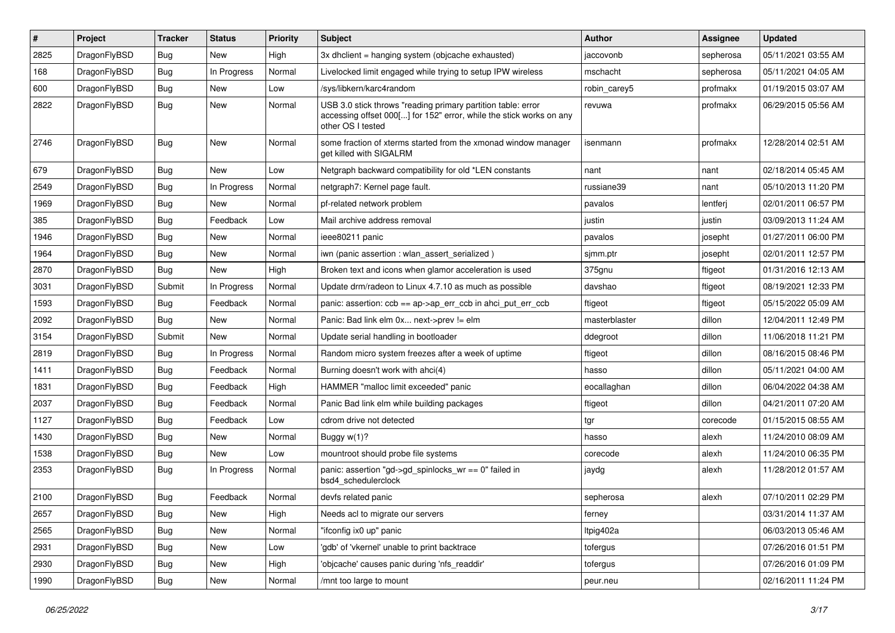| #    | Project      | <b>Tracker</b> | <b>Status</b> | <b>Priority</b> | Subject                                                                                                                                                  | <b>Author</b> | <b>Assignee</b> | <b>Updated</b>      |
|------|--------------|----------------|---------------|-----------------|----------------------------------------------------------------------------------------------------------------------------------------------------------|---------------|-----------------|---------------------|
| 2825 | DragonFlyBSD | <b>Bug</b>     | New           | High            | 3x dhclient = hanging system (objcache exhausted)                                                                                                        | jaccovonb     | sepherosa       | 05/11/2021 03:55 AM |
| 168  | DragonFlyBSD | <b>Bug</b>     | In Progress   | Normal          | Livelocked limit engaged while trying to setup IPW wireless                                                                                              | mschacht      | sepherosa       | 05/11/2021 04:05 AM |
| 600  | DragonFlyBSD | <b>Bug</b>     | New           | Low             | /sys/libkern/karc4random                                                                                                                                 | robin carey5  | profmakx        | 01/19/2015 03:07 AM |
| 2822 | DragonFlyBSD | <b>Bug</b>     | New           | Normal          | USB 3.0 stick throws "reading primary partition table: error<br>accessing offset 000[] for 152" error, while the stick works on any<br>other OS I tested | revuwa        | profmakx        | 06/29/2015 05:56 AM |
| 2746 | DragonFlyBSD | <b>Bug</b>     | New           | Normal          | some fraction of xterms started from the xmonad window manager<br>get killed with SIGALRM                                                                | isenmann      | profmakx        | 12/28/2014 02:51 AM |
| 679  | DragonFlyBSD | <b>Bug</b>     | <b>New</b>    | Low             | Netgraph backward compatibility for old *LEN constants                                                                                                   | nant          | nant            | 02/18/2014 05:45 AM |
| 2549 | DragonFlyBSD | Bug            | In Progress   | Normal          | netgraph7: Kernel page fault.                                                                                                                            | russiane39    | nant            | 05/10/2013 11:20 PM |
| 1969 | DragonFlyBSD | <b>Bug</b>     | New           | Normal          | pf-related network problem                                                                                                                               | pavalos       | lentferj        | 02/01/2011 06:57 PM |
| 385  | DragonFlyBSD | <b>Bug</b>     | Feedback      | Low             | Mail archive address removal                                                                                                                             | justin        | justin          | 03/09/2013 11:24 AM |
| 1946 | DragonFlyBSD | <b>Bug</b>     | <b>New</b>    | Normal          | ieee80211 panic                                                                                                                                          | pavalos       | josepht         | 01/27/2011 06:00 PM |
| 1964 | DragonFlyBSD | <b>Bug</b>     | New           | Normal          | iwn (panic assertion : wlan assert serialized)                                                                                                           | sjmm.ptr      | josepht         | 02/01/2011 12:57 PM |
| 2870 | DragonFlyBSD | <b>Bug</b>     | New           | High            | Broken text and icons when glamor acceleration is used                                                                                                   | 375gnu        | ftigeot         | 01/31/2016 12:13 AM |
| 3031 | DragonFlyBSD | Submit         | In Progress   | Normal          | Update drm/radeon to Linux 4.7.10 as much as possible                                                                                                    | davshao       | ftigeot         | 08/19/2021 12:33 PM |
| 1593 | DragonFlyBSD | <b>Bug</b>     | Feedback      | Normal          | panic: assertion: $ccb == ap > ap$ err $ccb$ in ahci put err $ccb$                                                                                       | ftigeot       | ftigeot         | 05/15/2022 05:09 AM |
| 2092 | DragonFlyBSD | <b>Bug</b>     | New           | Normal          | Panic: Bad link elm 0x next->prev != elm                                                                                                                 | masterblaster | dillon          | 12/04/2011 12:49 PM |
| 3154 | DragonFlyBSD | Submit         | New           | Normal          | Update serial handling in bootloader                                                                                                                     | ddegroot      | dillon          | 11/06/2018 11:21 PM |
| 2819 | DragonFlyBSD | <b>Bug</b>     | In Progress   | Normal          | Random micro system freezes after a week of uptime                                                                                                       | ftigeot       | dillon          | 08/16/2015 08:46 PM |
| 1411 | DragonFlyBSD | <b>Bug</b>     | Feedback      | Normal          | Burning doesn't work with ahci(4)                                                                                                                        | hasso         | dillon          | 05/11/2021 04:00 AM |
| 1831 | DragonFlyBSD | <b>Bug</b>     | Feedback      | High            | HAMMER "malloc limit exceeded" panic                                                                                                                     | eocallaghan   | dillon          | 06/04/2022 04:38 AM |
| 2037 | DragonFlyBSD | Bug            | Feedback      | Normal          | Panic Bad link elm while building packages                                                                                                               | ftigeot       | dillon          | 04/21/2011 07:20 AM |
| 1127 | DragonFlyBSD | <b>Bug</b>     | Feedback      | Low             | cdrom drive not detected                                                                                                                                 | tgr           | corecode        | 01/15/2015 08:55 AM |
| 1430 | DragonFlyBSD | <b>Bug</b>     | New           | Normal          | Buggy w(1)?                                                                                                                                              | hasso         | alexh           | 11/24/2010 08:09 AM |
| 1538 | DragonFlyBSD | <b>Bug</b>     | <b>New</b>    | Low             | mountroot should probe file systems                                                                                                                      | corecode      | alexh           | 11/24/2010 06:35 PM |
| 2353 | DragonFlyBSD | <b>Bug</b>     | In Progress   | Normal          | panic: assertion "gd->gd spinlocks $wr == 0$ " failed in<br>bsd4_schedulerclock                                                                          | jaydg         | alexh           | 11/28/2012 01:57 AM |
| 2100 | DragonFlyBSD | <b>Bug</b>     | Feedback      | Normal          | devfs related panic                                                                                                                                      | sepherosa     | alexh           | 07/10/2011 02:29 PM |
| 2657 | DragonFlyBSD | <b>Bug</b>     | New           | High            | Needs acl to migrate our servers                                                                                                                         | ferney        |                 | 03/31/2014 11:37 AM |
| 2565 | DragonFlyBSD | <b>Bug</b>     | New           | Normal          | "ifconfig ix0 up" panic                                                                                                                                  | ltpig402a     |                 | 06/03/2013 05:46 AM |
| 2931 | DragonFlyBSD | <b>Bug</b>     | <b>New</b>    | Low             | 'gdb' of 'vkernel' unable to print backtrace                                                                                                             | tofergus      |                 | 07/26/2016 01:51 PM |
| 2930 | DragonFlyBSD | <b>Bug</b>     | New           | High            | 'objcache' causes panic during 'nfs_readdir'                                                                                                             | tofergus      |                 | 07/26/2016 01:09 PM |
| 1990 | DragonFlyBSD | <b>Bug</b>     | New           | Normal          | /mnt too large to mount                                                                                                                                  | peur.neu      |                 | 02/16/2011 11:24 PM |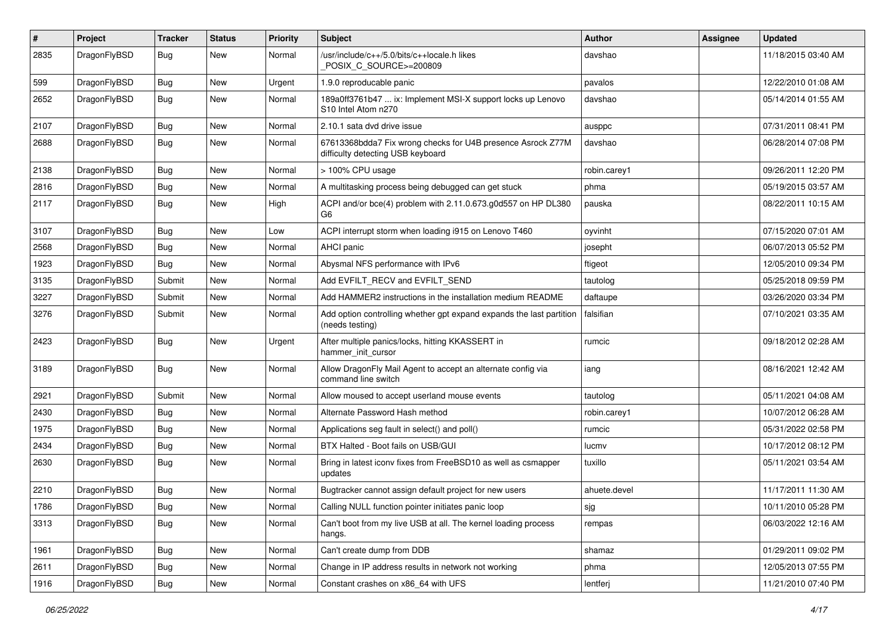| $\pmb{\#}$ | Project      | <b>Tracker</b> | <b>Status</b> | <b>Priority</b> | Subject                                                                                          | Author       | Assignee | <b>Updated</b>      |
|------------|--------------|----------------|---------------|-----------------|--------------------------------------------------------------------------------------------------|--------------|----------|---------------------|
| 2835       | DragonFlyBSD | Bug            | New           | Normal          | /usr/include/c++/5.0/bits/c++locale.h likes<br>POSIX_C_SOURCE>=200809                            | davshao      |          | 11/18/2015 03:40 AM |
| 599        | DragonFlyBSD | <b>Bug</b>     | New           | Urgent          | 1.9.0 reproducable panic                                                                         | pavalos      |          | 12/22/2010 01:08 AM |
| 2652       | DragonFlyBSD | Bug            | New           | Normal          | 189a0ff3761b47  ix: Implement MSI-X support locks up Lenovo<br>S10 Intel Atom n270               | davshao      |          | 05/14/2014 01:55 AM |
| 2107       | DragonFlyBSD | <b>Bug</b>     | <b>New</b>    | Normal          | 2.10.1 sata dvd drive issue                                                                      | ausppc       |          | 07/31/2011 08:41 PM |
| 2688       | DragonFlyBSD | Bug            | New           | Normal          | 67613368bdda7 Fix wrong checks for U4B presence Asrock Z77M<br>difficulty detecting USB keyboard | davshao      |          | 06/28/2014 07:08 PM |
| 2138       | DragonFlyBSD | <b>Bug</b>     | <b>New</b>    | Normal          | > 100% CPU usage                                                                                 | robin.carey1 |          | 09/26/2011 12:20 PM |
| 2816       | DragonFlyBSD | <b>Bug</b>     | New           | Normal          | A multitasking process being debugged can get stuck                                              | phma         |          | 05/19/2015 03:57 AM |
| 2117       | DragonFlyBSD | <b>Bug</b>     | New           | High            | ACPI and/or bce(4) problem with 2.11.0.673.g0d557 on HP DL380<br>G6                              | pauska       |          | 08/22/2011 10:15 AM |
| 3107       | DragonFlyBSD | Bug            | <b>New</b>    | Low             | ACPI interrupt storm when loading i915 on Lenovo T460                                            | oyvinht      |          | 07/15/2020 07:01 AM |
| 2568       | DragonFlyBSD | <b>Bug</b>     | New           | Normal          | <b>AHCI</b> panic                                                                                | josepht      |          | 06/07/2013 05:52 PM |
| 1923       | DragonFlyBSD | Bug            | New           | Normal          | Abysmal NFS performance with IPv6                                                                | ftigeot      |          | 12/05/2010 09:34 PM |
| 3135       | DragonFlyBSD | Submit         | New           | Normal          | Add EVFILT_RECV and EVFILT_SEND                                                                  | tautolog     |          | 05/25/2018 09:59 PM |
| 3227       | DragonFlyBSD | Submit         | New           | Normal          | Add HAMMER2 instructions in the installation medium README                                       | daftaupe     |          | 03/26/2020 03:34 PM |
| 3276       | DragonFlyBSD | Submit         | New           | Normal          | Add option controlling whether gpt expand expands the last partition<br>(needs testing)          | falsifian    |          | 07/10/2021 03:35 AM |
| 2423       | DragonFlyBSD | Bug            | New           | Urgent          | After multiple panics/locks, hitting KKASSERT in<br>hammer init cursor                           | rumcic       |          | 09/18/2012 02:28 AM |
| 3189       | DragonFlyBSD | <b>Bug</b>     | <b>New</b>    | Normal          | Allow DragonFly Mail Agent to accept an alternate config via<br>command line switch              | iang         |          | 08/16/2021 12:42 AM |
| 2921       | DragonFlyBSD | Submit         | New           | Normal          | Allow moused to accept userland mouse events                                                     | tautolog     |          | 05/11/2021 04:08 AM |
| 2430       | DragonFlyBSD | Bug            | New           | Normal          | Alternate Password Hash method                                                                   | robin.carey1 |          | 10/07/2012 06:28 AM |
| 1975       | DragonFlyBSD | Bug            | New           | Normal          | Applications seg fault in select() and poll()                                                    | rumcic       |          | 05/31/2022 02:58 PM |
| 2434       | DragonFlyBSD | Bug            | <b>New</b>    | Normal          | BTX Halted - Boot fails on USB/GUI                                                               | lucmv        |          | 10/17/2012 08:12 PM |
| 2630       | DragonFlyBSD | Bug            | New           | Normal          | Bring in latest iconv fixes from FreeBSD10 as well as csmapper<br>updates                        | tuxillo      |          | 05/11/2021 03:54 AM |
| 2210       | DragonFlyBSD | <b>Bug</b>     | New           | Normal          | Bugtracker cannot assign default project for new users                                           | ahuete.devel |          | 11/17/2011 11:30 AM |
| 1786       | DragonFlyBSD | <b>Bug</b>     | New           | Normal          | Calling NULL function pointer initiates panic loop                                               | sjg          |          | 10/11/2010 05:28 PM |
| 3313       | DragonFlyBSD | <b>Bug</b>     | New           | Normal          | Can't boot from my live USB at all. The kernel loading process<br>hangs.                         | rempas       |          | 06/03/2022 12:16 AM |
| 1961       | DragonFlyBSD | Bug            | <b>New</b>    | Normal          | Can't create dump from DDB                                                                       | shamaz       |          | 01/29/2011 09:02 PM |
| 2611       | DragonFlyBSD | Bug            | <b>New</b>    | Normal          | Change in IP address results in network not working                                              | phma         |          | 12/05/2013 07:55 PM |
| 1916       | DragonFlyBSD | <b>Bug</b>     | New           | Normal          | Constant crashes on x86 64 with UFS                                                              | lentferj     |          | 11/21/2010 07:40 PM |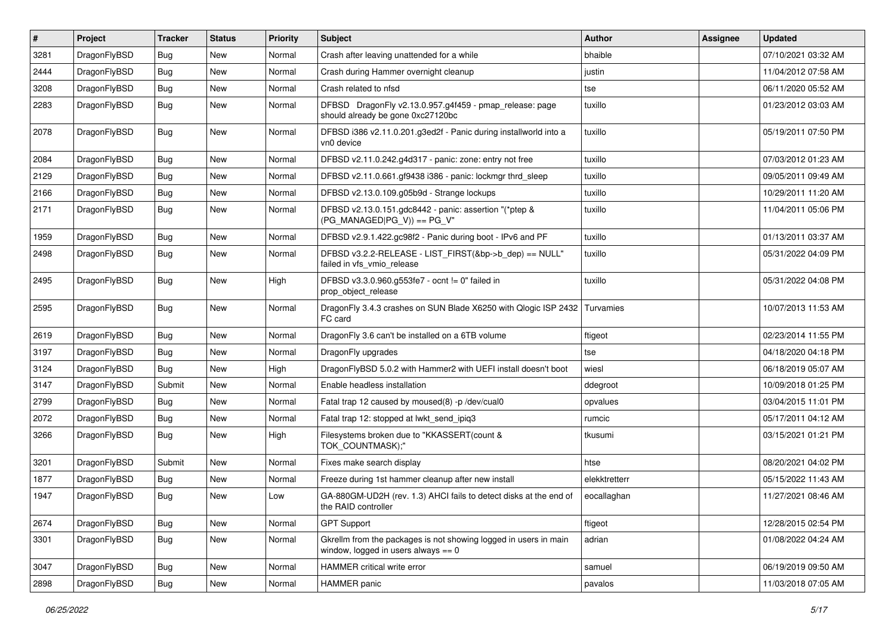| #    | Project      | <b>Tracker</b> | <b>Status</b> | <b>Priority</b> | <b>Subject</b>                                                                                            | Author        | Assignee | <b>Updated</b>      |
|------|--------------|----------------|---------------|-----------------|-----------------------------------------------------------------------------------------------------------|---------------|----------|---------------------|
| 3281 | DragonFlyBSD | Bug            | <b>New</b>    | Normal          | Crash after leaving unattended for a while                                                                | bhaible       |          | 07/10/2021 03:32 AM |
| 2444 | DragonFlyBSD | Bug            | <b>New</b>    | Normal          | Crash during Hammer overnight cleanup                                                                     | justin        |          | 11/04/2012 07:58 AM |
| 3208 | DragonFlyBSD | <b>Bug</b>     | New           | Normal          | Crash related to nfsd                                                                                     | tse           |          | 06/11/2020 05:52 AM |
| 2283 | DragonFlyBSD | Bug            | New           | Normal          | DFBSD DragonFly v2.13.0.957.g4f459 - pmap_release: page<br>should already be gone 0xc27120bc              | tuxillo       |          | 01/23/2012 03:03 AM |
| 2078 | DragonFlyBSD | <b>Bug</b>     | New           | Normal          | DFBSD i386 v2.11.0.201.g3ed2f - Panic during installworld into a<br>vn0 device                            | tuxillo       |          | 05/19/2011 07:50 PM |
| 2084 | DragonFlyBSD | <b>Bug</b>     | New           | Normal          | DFBSD v2.11.0.242.g4d317 - panic: zone: entry not free                                                    | tuxillo       |          | 07/03/2012 01:23 AM |
| 2129 | DragonFlyBSD | Bug            | <b>New</b>    | Normal          | DFBSD v2.11.0.661.gf9438 i386 - panic: lockmgr thrd_sleep                                                 | tuxillo       |          | 09/05/2011 09:49 AM |
| 2166 | DragonFlyBSD | Bug            | <b>New</b>    | Normal          | DFBSD v2.13.0.109.g05b9d - Strange lockups                                                                | tuxillo       |          | 10/29/2011 11:20 AM |
| 2171 | DragonFlyBSD | Bug            | <b>New</b>    | Normal          | DFBSD v2.13.0.151.gdc8442 - panic: assertion "(*ptep &<br>$(PG$ MANAGED PG_V)) == PG_V"                   | tuxillo       |          | 11/04/2011 05:06 PM |
| 1959 | DragonFlyBSD | <b>Bug</b>     | <b>New</b>    | Normal          | DFBSD v2.9.1.422.gc98f2 - Panic during boot - IPv6 and PF                                                 | tuxillo       |          | 01/13/2011 03:37 AM |
| 2498 | DragonFlyBSD | <b>Bug</b>     | New           | Normal          | DFBSD v3.2.2-RELEASE - LIST_FIRST(&bp->b_dep) == NULL"<br>failed in vfs_vmio_release                      | tuxillo       |          | 05/31/2022 04:09 PM |
| 2495 | DragonFlyBSD | <b>Bug</b>     | New           | High            | DFBSD v3.3.0.960.g553fe7 - ocnt != 0" failed in<br>prop_object_release                                    | tuxillo       |          | 05/31/2022 04:08 PM |
| 2595 | DragonFlyBSD | Bug            | New           | Normal          | DragonFly 3.4.3 crashes on SUN Blade X6250 with Qlogic ISP 2432<br>FC card                                | Turvamies     |          | 10/07/2013 11:53 AM |
| 2619 | DragonFlyBSD | Bug            | <b>New</b>    | Normal          | Dragon Fly 3.6 can't be installed on a 6TB volume                                                         | ftigeot       |          | 02/23/2014 11:55 PM |
| 3197 | DragonFlyBSD | <b>Bug</b>     | <b>New</b>    | Normal          | DragonFly upgrades                                                                                        | tse           |          | 04/18/2020 04:18 PM |
| 3124 | DragonFlyBSD | <b>Bug</b>     | New           | High            | DragonFlyBSD 5.0.2 with Hammer2 with UEFI install doesn't boot                                            | wiesl         |          | 06/18/2019 05:07 AM |
| 3147 | DragonFlyBSD | Submit         | <b>New</b>    | Normal          | Enable headless installation                                                                              | ddegroot      |          | 10/09/2018 01:25 PM |
| 2799 | DragonFlyBSD | <b>Bug</b>     | New           | Normal          | Fatal trap 12 caused by moused(8) -p/dev/cual0                                                            | opvalues      |          | 03/04/2015 11:01 PM |
| 2072 | DragonFlyBSD | Bug            | <b>New</b>    | Normal          | Fatal trap 12: stopped at lwkt_send_ipiq3                                                                 | rumcic        |          | 05/17/2011 04:12 AM |
| 3266 | DragonFlyBSD | <b>Bug</b>     | New           | High            | Filesystems broken due to "KKASSERT(count &<br>TOK_COUNTMASK);"                                           | tkusumi       |          | 03/15/2021 01:21 PM |
| 3201 | DragonFlyBSD | Submit         | <b>New</b>    | Normal          | Fixes make search display                                                                                 | htse          |          | 08/20/2021 04:02 PM |
| 1877 | DragonFlyBSD | <b>Bug</b>     | <b>New</b>    | Normal          | Freeze during 1st hammer cleanup after new install                                                        | elekktretterr |          | 05/15/2022 11:43 AM |
| 1947 | DragonFlyBSD | <b>Bug</b>     | New           | Low             | GA-880GM-UD2H (rev. 1.3) AHCI fails to detect disks at the end of<br>the RAID controller                  | eocallaghan   |          | 11/27/2021 08:46 AM |
| 2674 | DragonFlyBSD | Bug            | New           | Normal          | <b>GPT Support</b>                                                                                        | ftigeot       |          | 12/28/2015 02:54 PM |
| 3301 | DragonFlyBSD | <b>Bug</b>     | New           | Normal          | Gkrellm from the packages is not showing logged in users in main<br>window, logged in users always $== 0$ | adrian        |          | 01/08/2022 04:24 AM |
| 3047 | DragonFlyBSD | <b>Bug</b>     | New           | Normal          | HAMMER critical write error                                                                               | samuel        |          | 06/19/2019 09:50 AM |
| 2898 | DragonFlyBSD | <b>Bug</b>     | New           | Normal          | <b>HAMMER</b> panic                                                                                       | pavalos       |          | 11/03/2018 07:05 AM |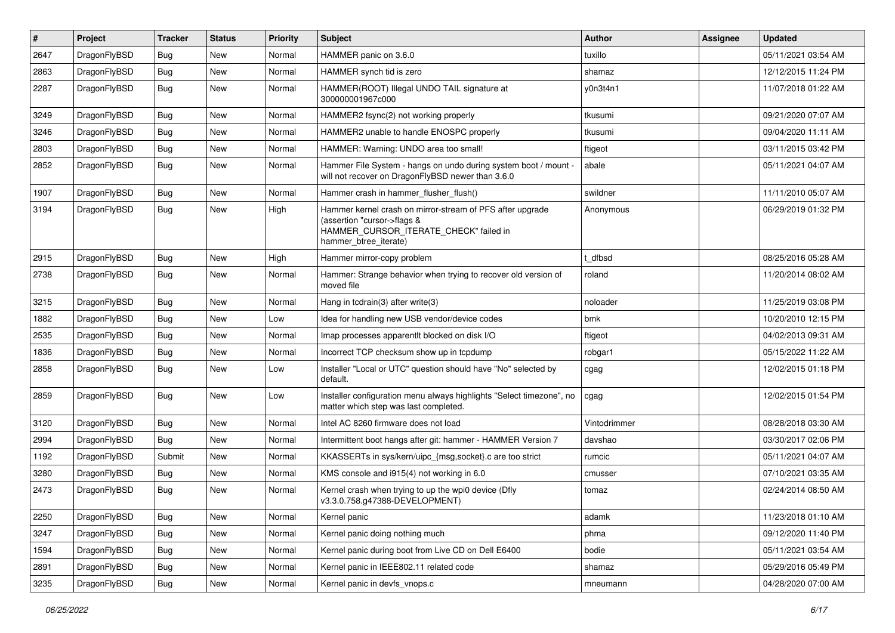| $\sharp$ | Project      | <b>Tracker</b> | <b>Status</b> | <b>Priority</b> | <b>Subject</b>                                                                                                                                              | <b>Author</b> | Assignee | <b>Updated</b>      |
|----------|--------------|----------------|---------------|-----------------|-------------------------------------------------------------------------------------------------------------------------------------------------------------|---------------|----------|---------------------|
| 2647     | DragonFlyBSD | <b>Bug</b>     | <b>New</b>    | Normal          | HAMMER panic on 3.6.0                                                                                                                                       | tuxillo       |          | 05/11/2021 03:54 AM |
| 2863     | DragonFlyBSD | <b>Bug</b>     | New           | Normal          | HAMMER synch tid is zero                                                                                                                                    | shamaz        |          | 12/12/2015 11:24 PM |
| 2287     | DragonFlyBSD | <b>Bug</b>     | <b>New</b>    | Normal          | HAMMER(ROOT) Illegal UNDO TAIL signature at<br>300000001967c000                                                                                             | y0n3t4n1      |          | 11/07/2018 01:22 AM |
| 3249     | DragonFlyBSD | <b>Bug</b>     | <b>New</b>    | Normal          | HAMMER2 fsync(2) not working properly                                                                                                                       | tkusumi       |          | 09/21/2020 07:07 AM |
| 3246     | DragonFlyBSD | <b>Bug</b>     | <b>New</b>    | Normal          | HAMMER2 unable to handle ENOSPC properly                                                                                                                    | tkusumi       |          | 09/04/2020 11:11 AM |
| 2803     | DragonFlyBSD | <b>Bug</b>     | <b>New</b>    | Normal          | HAMMER: Warning: UNDO area too small!                                                                                                                       | ftigeot       |          | 03/11/2015 03:42 PM |
| 2852     | DragonFlyBSD | Bug            | <b>New</b>    | Normal          | Hammer File System - hangs on undo during system boot / mount -<br>will not recover on DragonFlyBSD newer than 3.6.0                                        | abale         |          | 05/11/2021 04:07 AM |
| 1907     | DragonFlyBSD | Bug            | New           | Normal          | Hammer crash in hammer_flusher_flush()                                                                                                                      | swildner      |          | 11/11/2010 05:07 AM |
| 3194     | DragonFlyBSD | Bug            | <b>New</b>    | High            | Hammer kernel crash on mirror-stream of PFS after upgrade<br>(assertion "cursor->flags &<br>HAMMER_CURSOR_ITERATE_CHECK" failed in<br>hammer_btree_iterate) | Anonymous     |          | 06/29/2019 01:32 PM |
| 2915     | DragonFlyBSD | <b>Bug</b>     | <b>New</b>    | High            | Hammer mirror-copy problem                                                                                                                                  | t dfbsd       |          | 08/25/2016 05:28 AM |
| 2738     | DragonFlyBSD | Bug            | <b>New</b>    | Normal          | Hammer: Strange behavior when trying to recover old version of<br>moved file                                                                                | roland        |          | 11/20/2014 08:02 AM |
| 3215     | DragonFlyBSD | <b>Bug</b>     | <b>New</b>    | Normal          | Hang in tcdrain(3) after write(3)                                                                                                                           | noloader      |          | 11/25/2019 03:08 PM |
| 1882     | DragonFlyBSD | <b>Bug</b>     | <b>New</b>    | Low             | Idea for handling new USB vendor/device codes                                                                                                               | bmk           |          | 10/20/2010 12:15 PM |
| 2535     | DragonFlyBSD | <b>Bug</b>     | <b>New</b>    | Normal          | Imap processes apparentlt blocked on disk I/O                                                                                                               | ftigeot       |          | 04/02/2013 09:31 AM |
| 1836     | DragonFlyBSD | <b>Bug</b>     | New           | Normal          | Incorrect TCP checksum show up in tcpdump                                                                                                                   | robgar1       |          | 05/15/2022 11:22 AM |
| 2858     | DragonFlyBSD | <b>Bug</b>     | New           | Low             | Installer "Local or UTC" question should have "No" selected by<br>default.                                                                                  | cgag          |          | 12/02/2015 01:18 PM |
| 2859     | DragonFlyBSD | Bug            | New           | Low             | Installer configuration menu always highlights "Select timezone", no<br>matter which step was last completed.                                               | cgag          |          | 12/02/2015 01:54 PM |
| 3120     | DragonFlyBSD | <b>Bug</b>     | <b>New</b>    | Normal          | Intel AC 8260 firmware does not load                                                                                                                        | Vintodrimmer  |          | 08/28/2018 03:30 AM |
| 2994     | DragonFlyBSD | Bug            | <b>New</b>    | Normal          | Intermittent boot hangs after git: hammer - HAMMER Version 7                                                                                                | davshao       |          | 03/30/2017 02:06 PM |
| 1192     | DragonFlyBSD | Submit         | New           | Normal          | KKASSERTs in sys/kern/uipc {msg,socket}.c are too strict                                                                                                    | rumcic        |          | 05/11/2021 04:07 AM |
| 3280     | DragonFlyBSD | Bug            | <b>New</b>    | Normal          | KMS console and i915(4) not working in 6.0                                                                                                                  | cmusser       |          | 07/10/2021 03:35 AM |
| 2473     | DragonFlyBSD | <b>Bug</b>     | <b>New</b>    | Normal          | Kernel crash when trying to up the wpi0 device (Dfly<br>v3.3.0.758.g47388-DEVELOPMENT)                                                                      | tomaz         |          | 02/24/2014 08:50 AM |
| 2250     | DragonFlyBSD | <b>Bug</b>     | <b>New</b>    | Normal          | Kernel panic                                                                                                                                                | adamk         |          | 11/23/2018 01:10 AM |
| 3247     | DragonFlyBSD | Bug            | New           | Normal          | Kernel panic doing nothing much                                                                                                                             | phma          |          | 09/12/2020 11:40 PM |
| 1594     | DragonFlyBSD | <b>Bug</b>     | <b>New</b>    | Normal          | Kernel panic during boot from Live CD on Dell E6400                                                                                                         | bodie         |          | 05/11/2021 03:54 AM |
| 2891     | DragonFlyBSD | <b>Bug</b>     | New           | Normal          | Kernel panic in IEEE802.11 related code                                                                                                                     | shamaz        |          | 05/29/2016 05:49 PM |
| 3235     | DragonFlyBSD | <b>Bug</b>     | New           | Normal          | Kernel panic in devfs_vnops.c                                                                                                                               | mneumann      |          | 04/28/2020 07:00 AM |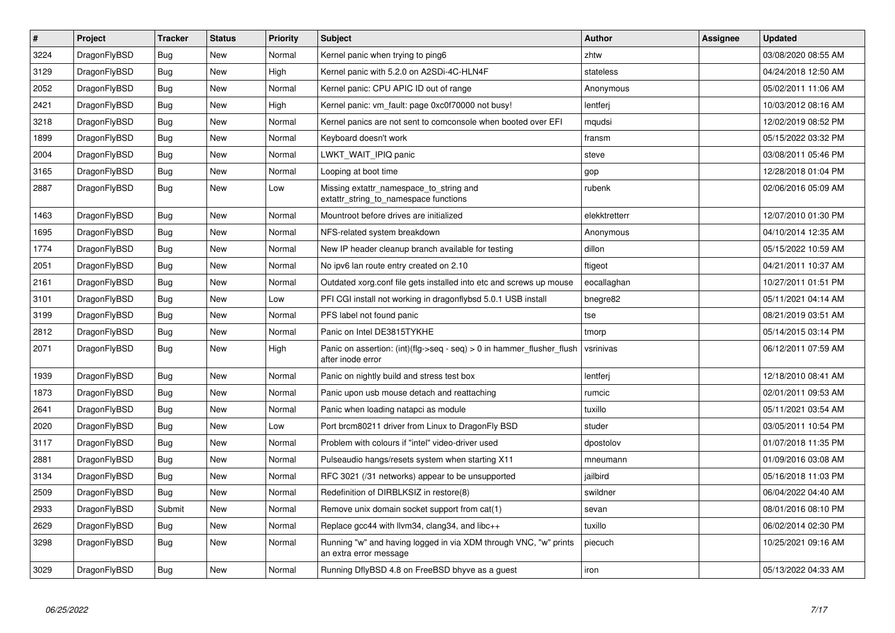| $\vert$ # | Project      | <b>Tracker</b> | <b>Status</b> | <b>Priority</b> | <b>Subject</b>                                                                                | <b>Author</b> | Assignee | <b>Updated</b>      |
|-----------|--------------|----------------|---------------|-----------------|-----------------------------------------------------------------------------------------------|---------------|----------|---------------------|
| 3224      | DragonFlyBSD | <b>Bug</b>     | <b>New</b>    | Normal          | Kernel panic when trying to ping6                                                             | zhtw          |          | 03/08/2020 08:55 AM |
| 3129      | DragonFlyBSD | Bug            | <b>New</b>    | High            | Kernel panic with 5.2.0 on A2SDi-4C-HLN4F                                                     | stateless     |          | 04/24/2018 12:50 AM |
| 2052      | DragonFlyBSD | Bug            | New           | Normal          | Kernel panic: CPU APIC ID out of range                                                        | Anonymous     |          | 05/02/2011 11:06 AM |
| 2421      | DragonFlyBSD | <b>Bug</b>     | <b>New</b>    | High            | Kernel panic: vm fault: page 0xc0f70000 not busy!                                             | lentferj      |          | 10/03/2012 08:16 AM |
| 3218      | DragonFlyBSD | Bug            | <b>New</b>    | Normal          | Kernel panics are not sent to comconsole when booted over EFI                                 | mqudsi        |          | 12/02/2019 08:52 PM |
| 1899      | DragonFlyBSD | Bug            | <b>New</b>    | Normal          | Keyboard doesn't work                                                                         | fransm        |          | 05/15/2022 03:32 PM |
| 2004      | DragonFlyBSD | Bug            | <b>New</b>    | Normal          | LWKT WAIT IPIQ panic                                                                          | steve         |          | 03/08/2011 05:46 PM |
| 3165      | DragonFlyBSD | <b>Bug</b>     | <b>New</b>    | Normal          | Looping at boot time                                                                          | gop           |          | 12/28/2018 01:04 PM |
| 2887      | DragonFlyBSD | Bug            | New           | Low             | Missing extattr namespace to string and<br>extattr_string_to_namespace functions              | rubenk        |          | 02/06/2016 05:09 AM |
| 1463      | DragonFlyBSD | Bug            | <b>New</b>    | Normal          | Mountroot before drives are initialized                                                       | elekktretterr |          | 12/07/2010 01:30 PM |
| 1695      | DragonFlyBSD | Bug            | <b>New</b>    | Normal          | NFS-related system breakdown                                                                  | Anonymous     |          | 04/10/2014 12:35 AM |
| 1774      | DragonFlyBSD | <b>Bug</b>     | <b>New</b>    | Normal          | New IP header cleanup branch available for testing                                            | dillon        |          | 05/15/2022 10:59 AM |
| 2051      | DragonFlyBSD | <b>Bug</b>     | New           | Normal          | No ipv6 lan route entry created on 2.10                                                       | ftigeot       |          | 04/21/2011 10:37 AM |
| 2161      | DragonFlyBSD | Bug            | <b>New</b>    | Normal          | Outdated xorg.conf file gets installed into etc and screws up mouse                           | eocallaghan   |          | 10/27/2011 01:51 PM |
| 3101      | DragonFlyBSD | Bug            | <b>New</b>    | Low             | PFI CGI install not working in dragonflybsd 5.0.1 USB install                                 | bnegre82      |          | 05/11/2021 04:14 AM |
| 3199      | DragonFlyBSD | Bug            | New           | Normal          | PFS label not found panic                                                                     | tse           |          | 08/21/2019 03:51 AM |
| 2812      | DragonFlyBSD | Bug            | <b>New</b>    | Normal          | Panic on Intel DE3815TYKHE                                                                    | tmorp         |          | 05/14/2015 03:14 PM |
| 2071      | DragonFlyBSD | Bug            | <b>New</b>    | High            | Panic on assertion: $(int)(flag->seq - seq) > 0$ in hammer flusher flush<br>after inode error | vsrinivas     |          | 06/12/2011 07:59 AM |
| 1939      | DragonFlyBSD | Bug            | <b>New</b>    | Normal          | Panic on nightly build and stress test box                                                    | lentferj      |          | 12/18/2010 08:41 AM |
| 1873      | DragonFlyBSD | Bug            | <b>New</b>    | Normal          | Panic upon usb mouse detach and reattaching                                                   | rumcic        |          | 02/01/2011 09:53 AM |
| 2641      | DragonFlyBSD | Bug            | New           | Normal          | Panic when loading natapci as module                                                          | tuxillo       |          | 05/11/2021 03:54 AM |
| 2020      | DragonFlyBSD | <b>Bug</b>     | <b>New</b>    | Low             | Port brcm80211 driver from Linux to DragonFly BSD                                             | studer        |          | 03/05/2011 10:54 PM |
| 3117      | DragonFlyBSD | Bug            | <b>New</b>    | Normal          | Problem with colours if "intel" video-driver used                                             | dpostolov     |          | 01/07/2018 11:35 PM |
| 2881      | DragonFlyBSD | <b>Bug</b>     | <b>New</b>    | Normal          | Pulseaudio hangs/resets system when starting X11                                              | mneumann      |          | 01/09/2016 03:08 AM |
| 3134      | DragonFlyBSD | Bug            | <b>New</b>    | Normal          | RFC 3021 (/31 networks) appear to be unsupported                                              | jailbird      |          | 05/16/2018 11:03 PM |
| 2509      | DragonFlyBSD | Bug            | <b>New</b>    | Normal          | Redefinition of DIRBLKSIZ in restore(8)                                                       | swildner      |          | 06/04/2022 04:40 AM |
| 2933      | DragonFlyBSD | Submit         | <b>New</b>    | Normal          | Remove unix domain socket support from cat(1)                                                 | sevan         |          | 08/01/2016 08:10 PM |
| 2629      | DragonFlyBSD | Bug            | <b>New</b>    | Normal          | Replace gcc44 with llvm34, clang34, and libc++                                                | tuxillo       |          | 06/02/2014 02:30 PM |
| 3298      | DragonFlyBSD | Bug            | New           | Normal          | Running "w" and having logged in via XDM through VNC, "w" prints<br>an extra error message    | piecuch       |          | 10/25/2021 09:16 AM |
| 3029      | DragonFlyBSD | Bug            | <b>New</b>    | Normal          | Running DflyBSD 4.8 on FreeBSD bhyve as a guest                                               | iron          |          | 05/13/2022 04:33 AM |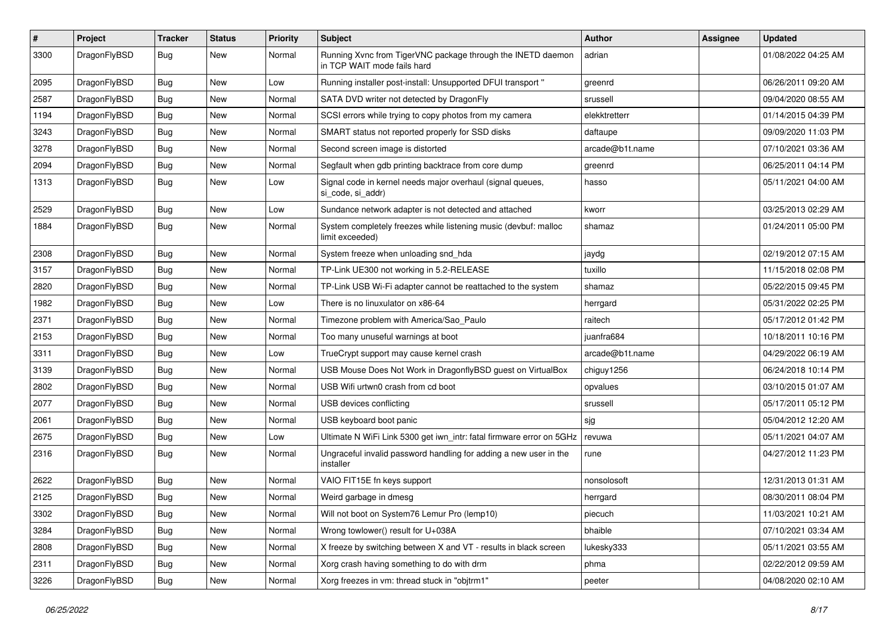| #    | Project      | <b>Tracker</b> | <b>Status</b> | <b>Priority</b> | <b>Subject</b>                                                                             | <b>Author</b>   | Assignee | <b>Updated</b>      |
|------|--------------|----------------|---------------|-----------------|--------------------------------------------------------------------------------------------|-----------------|----------|---------------------|
| 3300 | DragonFlyBSD | Bug            | <b>New</b>    | Normal          | Running Xvnc from TigerVNC package through the INETD daemon<br>in TCP WAIT mode fails hard | adrian          |          | 01/08/2022 04:25 AM |
| 2095 | DragonFlyBSD | Bug            | <b>New</b>    | Low             | Running installer post-install: Unsupported DFUI transport "                               | greenrd         |          | 06/26/2011 09:20 AM |
| 2587 | DragonFlyBSD | Bug            | <b>New</b>    | Normal          | SATA DVD writer not detected by DragonFly                                                  | srussell        |          | 09/04/2020 08:55 AM |
| 1194 | DragonFlyBSD | <b>Bug</b>     | <b>New</b>    | Normal          | SCSI errors while trying to copy photos from my camera                                     | elekktretterr   |          | 01/14/2015 04:39 PM |
| 3243 | DragonFlyBSD | <b>Bug</b>     | New           | Normal          | SMART status not reported properly for SSD disks                                           | daftaupe        |          | 09/09/2020 11:03 PM |
| 3278 | DragonFlyBSD | Bug            | <b>New</b>    | Normal          | Second screen image is distorted                                                           | arcade@b1t.name |          | 07/10/2021 03:36 AM |
| 2094 | DragonFlyBSD | <b>Bug</b>     | <b>New</b>    | Normal          | Segfault when gdb printing backtrace from core dump                                        | greenrd         |          | 06/25/2011 04:14 PM |
| 1313 | DragonFlyBSD | Bug            | <b>New</b>    | Low             | Signal code in kernel needs major overhaul (signal queues,<br>si_code, si_addr)            | hasso           |          | 05/11/2021 04:00 AM |
| 2529 | DragonFlyBSD | <b>Bug</b>     | <b>New</b>    | Low             | Sundance network adapter is not detected and attached                                      | kworr           |          | 03/25/2013 02:29 AM |
| 1884 | DragonFlyBSD | Bug            | New           | Normal          | System completely freezes while listening music (devbuf: malloc<br>limit exceeded)         | shamaz          |          | 01/24/2011 05:00 PM |
| 2308 | DragonFlyBSD | <b>Bug</b>     | <b>New</b>    | Normal          | System freeze when unloading snd_hda                                                       | jaydg           |          | 02/19/2012 07:15 AM |
| 3157 | DragonFlyBSD | Bug            | <b>New</b>    | Normal          | TP-Link UE300 not working in 5.2-RELEASE                                                   | tuxillo         |          | 11/15/2018 02:08 PM |
| 2820 | DragonFlyBSD | Bug            | <b>New</b>    | Normal          | TP-Link USB Wi-Fi adapter cannot be reattached to the system                               | shamaz          |          | 05/22/2015 09:45 PM |
| 1982 | DragonFlyBSD | <b>Bug</b>     | <b>New</b>    | Low             | There is no linuxulator on x86-64                                                          | herrgard        |          | 05/31/2022 02:25 PM |
| 2371 | DragonFlyBSD | Bug            | <b>New</b>    | Normal          | Timezone problem with America/Sao_Paulo                                                    | raitech         |          | 05/17/2012 01:42 PM |
| 2153 | DragonFlyBSD | <b>Bug</b>     | <b>New</b>    | Normal          | Too many unuseful warnings at boot                                                         | juanfra684      |          | 10/18/2011 10:16 PM |
| 3311 | DragonFlyBSD | Bug            | <b>New</b>    | Low             | TrueCrypt support may cause kernel crash                                                   | arcade@b1t.name |          | 04/29/2022 06:19 AM |
| 3139 | DragonFlyBSD | <b>Bug</b>     | <b>New</b>    | Normal          | USB Mouse Does Not Work in DragonflyBSD guest on VirtualBox                                | chiguy1256      |          | 06/24/2018 10:14 PM |
| 2802 | DragonFlyBSD | <b>Bug</b>     | <b>New</b>    | Normal          | USB Wifi urtwn0 crash from cd boot                                                         | opvalues        |          | 03/10/2015 01:07 AM |
| 2077 | DragonFlyBSD | <b>Bug</b>     | <b>New</b>    | Normal          | USB devices conflicting                                                                    | srussell        |          | 05/17/2011 05:12 PM |
| 2061 | DragonFlyBSD | <b>Bug</b>     | <b>New</b>    | Normal          | USB keyboard boot panic                                                                    | sjg             |          | 05/04/2012 12:20 AM |
| 2675 | DragonFlyBSD | <b>Bug</b>     | <b>New</b>    | Low             | Ultimate N WiFi Link 5300 get iwn_intr: fatal firmware error on 5GHz                       | revuwa          |          | 05/11/2021 04:07 AM |
| 2316 | DragonFlyBSD | <b>Bug</b>     | <b>New</b>    | Normal          | Ungraceful invalid password handling for adding a new user in the<br>installer             | rune            |          | 04/27/2012 11:23 PM |
| 2622 | DragonFlyBSD | Bug            | <b>New</b>    | Normal          | VAIO FIT15E fn keys support                                                                | nonsolosoft     |          | 12/31/2013 01:31 AM |
| 2125 | DragonFlyBSD | <b>Bug</b>     | <b>New</b>    | Normal          | Weird garbage in dmesg                                                                     | herrgard        |          | 08/30/2011 08:04 PM |
| 3302 | DragonFlyBSD | <b>Bug</b>     | New           | Normal          | Will not boot on System76 Lemur Pro (lemp10)                                               | piecuch         |          | 11/03/2021 10:21 AM |
| 3284 | DragonFlyBSD | <b>Bug</b>     | New           | Normal          | Wrong towlower() result for U+038A                                                         | bhaible         |          | 07/10/2021 03:34 AM |
| 2808 | DragonFlyBSD | <b>Bug</b>     | New           | Normal          | X freeze by switching between X and VT - results in black screen                           | lukesky333      |          | 05/11/2021 03:55 AM |
| 2311 | DragonFlyBSD | <b>Bug</b>     | New           | Normal          | Xorg crash having something to do with drm                                                 | phma            |          | 02/22/2012 09:59 AM |
| 3226 | DragonFlyBSD | <b>Bug</b>     | New           | Normal          | Xorg freezes in vm: thread stuck in "objtrm1"                                              | peeter          |          | 04/08/2020 02:10 AM |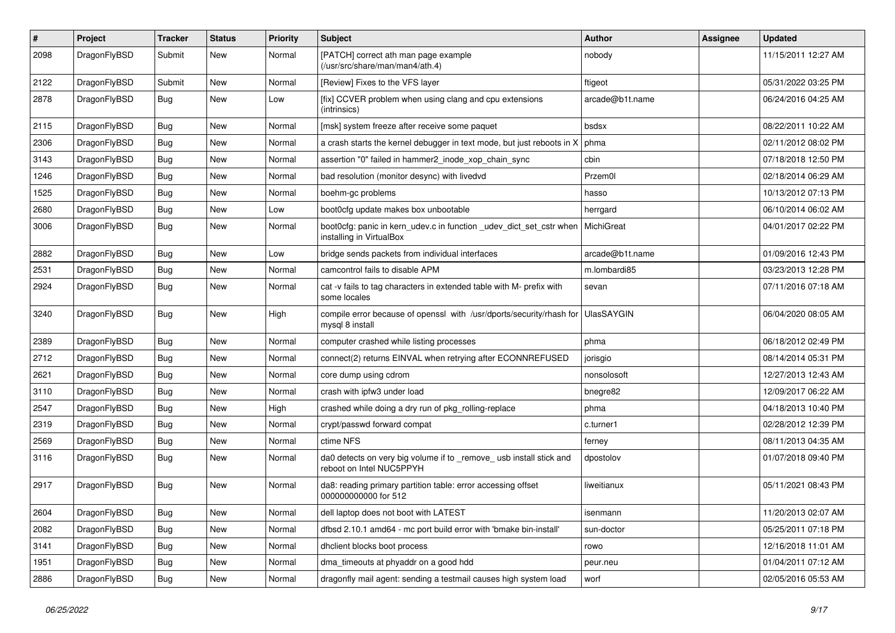| #    | Project      | <b>Tracker</b> | <b>Status</b> | <b>Priority</b> | Subject                                                                                         | <b>Author</b>     | Assignee | <b>Updated</b>      |
|------|--------------|----------------|---------------|-----------------|-------------------------------------------------------------------------------------------------|-------------------|----------|---------------------|
| 2098 | DragonFlyBSD | Submit         | <b>New</b>    | Normal          | [PATCH] correct ath man page example<br>(/usr/src/share/man/man4/ath.4)                         | nobody            |          | 11/15/2011 12:27 AM |
| 2122 | DragonFlyBSD | Submit         | <b>New</b>    | Normal          | [Review] Fixes to the VFS layer                                                                 | ftigeot           |          | 05/31/2022 03:25 PM |
| 2878 | DragonFlyBSD | Bug            | New           | Low             | [fix] CCVER problem when using clang and cpu extensions<br>(intrinsics)                         | arcade@b1t.name   |          | 06/24/2016 04:25 AM |
| 2115 | DragonFlyBSD | <b>Bug</b>     | <b>New</b>    | Normal          | [msk] system freeze after receive some paquet                                                   | bsdsx             |          | 08/22/2011 10:22 AM |
| 2306 | DragonFlyBSD | <b>Bug</b>     | <b>New</b>    | Normal          | a crash starts the kernel debugger in text mode, but just reboots in X                          | phma              |          | 02/11/2012 08:02 PM |
| 3143 | DragonFlyBSD | <b>Bug</b>     | <b>New</b>    | Normal          | assertion "0" failed in hammer2 inode xop chain sync                                            | cbin              |          | 07/18/2018 12:50 PM |
| 1246 | DragonFlyBSD | <b>Bug</b>     | <b>New</b>    | Normal          | bad resolution (monitor desync) with livedvd                                                    | Przem0l           |          | 02/18/2014 06:29 AM |
| 1525 | DragonFlyBSD | <b>Bug</b>     | <b>New</b>    | Normal          | boehm-gc problems                                                                               | hasso             |          | 10/13/2012 07:13 PM |
| 2680 | DragonFlyBSD | <b>Bug</b>     | <b>New</b>    | Low             | boot0cfg update makes box unbootable                                                            | herrgard          |          | 06/10/2014 06:02 AM |
| 3006 | DragonFlyBSD | Bug            | New           | Normal          | boot0cfg: panic in kern_udev.c in function _udev_dict_set_cstr when<br>installing in VirtualBox | MichiGreat        |          | 04/01/2017 02:22 PM |
| 2882 | DragonFlyBSD | <b>Bug</b>     | <b>New</b>    | Low             | bridge sends packets from individual interfaces                                                 | arcade@b1t.name   |          | 01/09/2016 12:43 PM |
| 2531 | DragonFlyBSD | <b>Bug</b>     | <b>New</b>    | Normal          | camcontrol fails to disable APM                                                                 | m.lombardi85      |          | 03/23/2013 12:28 PM |
| 2924 | DragonFlyBSD | <b>Bug</b>     | <b>New</b>    | Normal          | cat -v fails to tag characters in extended table with M- prefix with<br>some locales            | sevan             |          | 07/11/2016 07:18 AM |
| 3240 | DragonFlyBSD | <b>Bug</b>     | <b>New</b>    | High            | compile error because of openssl with /usr/dports/security/rhash for<br>mysql 8 install         | <b>UlasSAYGIN</b> |          | 06/04/2020 08:05 AM |
| 2389 | DragonFlyBSD | <b>Bug</b>     | <b>New</b>    | Normal          | computer crashed while listing processes                                                        | phma              |          | 06/18/2012 02:49 PM |
| 2712 | DragonFlyBSD | Bug            | <b>New</b>    | Normal          | connect(2) returns EINVAL when retrying after ECONNREFUSED                                      | jorisgio          |          | 08/14/2014 05:31 PM |
| 2621 | DragonFlyBSD | Bug            | <b>New</b>    | Normal          | core dump using cdrom                                                                           | nonsolosoft       |          | 12/27/2013 12:43 AM |
| 3110 | DragonFlyBSD | Bug            | <b>New</b>    | Normal          | crash with ipfw3 under load                                                                     | bnegre82          |          | 12/09/2017 06:22 AM |
| 2547 | DragonFlyBSD | <b>Bug</b>     | New           | High            | crashed while doing a dry run of pkg_rolling-replace                                            | phma              |          | 04/18/2013 10:40 PM |
| 2319 | DragonFlyBSD | Bug            | <b>New</b>    | Normal          | crypt/passwd forward compat                                                                     | c.turner1         |          | 02/28/2012 12:39 PM |
| 2569 | DragonFlyBSD | Bug            | <b>New</b>    | Normal          | ctime NFS                                                                                       | ferney            |          | 08/11/2013 04:35 AM |
| 3116 | DragonFlyBSD | <b>Bug</b>     | <b>New</b>    | Normal          | da0 detects on very big volume if to _remove_ usb install stick and<br>reboot on Intel NUC5PPYH | dpostolov         |          | 01/07/2018 09:40 PM |
| 2917 | DragonFlyBSD | <b>Bug</b>     | <b>New</b>    | Normal          | da8: reading primary partition table: error accessing offset<br>000000000000 for 512            | liweitianux       |          | 05/11/2021 08:43 PM |
| 2604 | DragonFlyBSD | Bug            | <b>New</b>    | Normal          | dell laptop does not boot with LATEST                                                           | isenmann          |          | 11/20/2013 02:07 AM |
| 2082 | DragonFlyBSD | Bug            | New           | Normal          | dfbsd 2.10.1 amd64 - mc port build error with 'bmake bin-install'                               | sun-doctor        |          | 05/25/2011 07:18 PM |
| 3141 | DragonFlyBSD | <b>Bug</b>     | New           | Normal          | dhclient blocks boot process                                                                    | rowo              |          | 12/16/2018 11:01 AM |
| 1951 | DragonFlyBSD | <b>Bug</b>     | New           | Normal          | dma_timeouts at phyaddr on a good hdd                                                           | peur.neu          |          | 01/04/2011 07:12 AM |
| 2886 | DragonFlyBSD | <b>Bug</b>     | New           | Normal          | dragonfly mail agent: sending a testmail causes high system load                                | worf              |          | 02/05/2016 05:53 AM |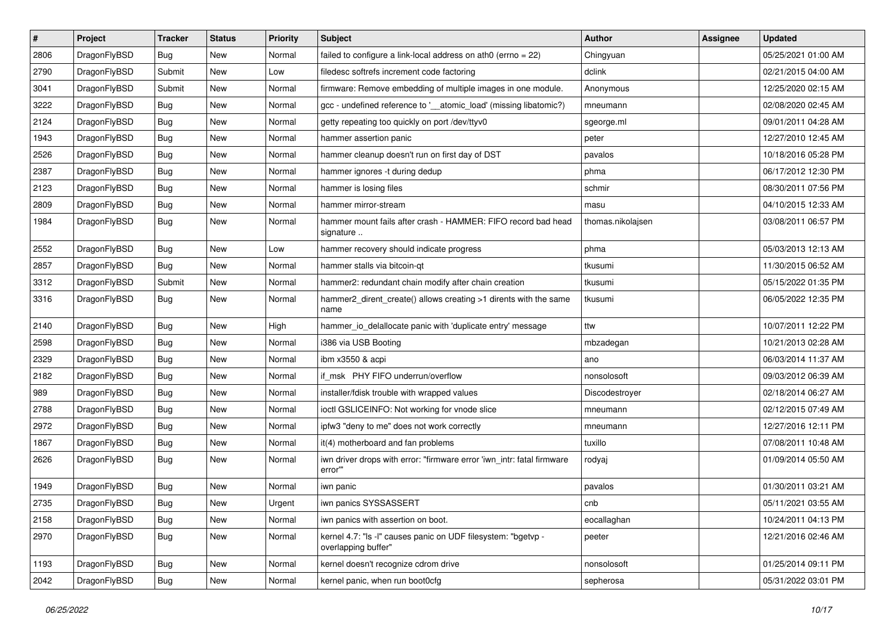| $\sharp$ | Project      | <b>Tracker</b> | <b>Status</b> | <b>Priority</b> | Subject                                                                              | <b>Author</b>     | Assignee | <b>Updated</b>      |
|----------|--------------|----------------|---------------|-----------------|--------------------------------------------------------------------------------------|-------------------|----------|---------------------|
| 2806     | DragonFlyBSD | <b>Bug</b>     | <b>New</b>    | Normal          | failed to configure a link-local address on ath0 (errno = 22)                        | Chingyuan         |          | 05/25/2021 01:00 AM |
| 2790     | DragonFlyBSD | Submit         | <b>New</b>    | Low             | filedesc softrefs increment code factoring                                           | dclink            |          | 02/21/2015 04:00 AM |
| 3041     | DragonFlyBSD | Submit         | New           | Normal          | firmware: Remove embedding of multiple images in one module.                         | Anonymous         |          | 12/25/2020 02:15 AM |
| 3222     | DragonFlyBSD | <b>Bug</b>     | New           | Normal          | gcc - undefined reference to '__atomic_load' (missing libatomic?)                    | mneumann          |          | 02/08/2020 02:45 AM |
| 2124     | DragonFlyBSD | Bug            | <b>New</b>    | Normal          | getty repeating too quickly on port /dev/ttyv0                                       | sgeorge.ml        |          | 09/01/2011 04:28 AM |
| 1943     | DragonFlyBSD | <b>Bug</b>     | <b>New</b>    | Normal          | hammer assertion panic                                                               | peter             |          | 12/27/2010 12:45 AM |
| 2526     | DragonFlyBSD | Bug            | New           | Normal          | hammer cleanup doesn't run on first day of DST                                       | pavalos           |          | 10/18/2016 05:28 PM |
| 2387     | DragonFlyBSD | <b>Bug</b>     | <b>New</b>    | Normal          | hammer ignores -t during dedup                                                       | phma              |          | 06/17/2012 12:30 PM |
| 2123     | DragonFlyBSD | <b>Bug</b>     | New           | Normal          | hammer is losing files                                                               | schmir            |          | 08/30/2011 07:56 PM |
| 2809     | DragonFlyBSD | Bug            | <b>New</b>    | Normal          | hammer mirror-stream                                                                 | masu              |          | 04/10/2015 12:33 AM |
| 1984     | DragonFlyBSD | <b>Bug</b>     | New           | Normal          | hammer mount fails after crash - HAMMER: FIFO record bad head<br>signature           | thomas.nikolajsen |          | 03/08/2011 06:57 PM |
| 2552     | DragonFlyBSD | Bug            | <b>New</b>    | Low             | hammer recovery should indicate progress                                             | phma              |          | 05/03/2013 12:13 AM |
| 2857     | DragonFlyBSD | <b>Bug</b>     | <b>New</b>    | Normal          | hammer stalls via bitcoin-qt                                                         | tkusumi           |          | 11/30/2015 06:52 AM |
| 3312     | DragonFlyBSD | Submit         | New           | Normal          | hammer2: redundant chain modify after chain creation                                 | tkusumi           |          | 05/15/2022 01:35 PM |
| 3316     | DragonFlyBSD | Bug            | <b>New</b>    | Normal          | hammer2_dirent_create() allows creating >1 dirents with the same<br>name             | tkusumi           |          | 06/05/2022 12:35 PM |
| 2140     | DragonFlyBSD | Bug            | <b>New</b>    | High            | hammer_io_delallocate panic with 'duplicate entry' message                           | ttw               |          | 10/07/2011 12:22 PM |
| 2598     | DragonFlyBSD | <b>Bug</b>     | New           | Normal          | i386 via USB Booting                                                                 | mbzadegan         |          | 10/21/2013 02:28 AM |
| 2329     | DragonFlyBSD | <b>Bug</b>     | <b>New</b>    | Normal          | ibm x3550 & acpi                                                                     | ano               |          | 06/03/2014 11:37 AM |
| 2182     | DragonFlyBSD | <b>Bug</b>     | New           | Normal          | if msk PHY FIFO underrun/overflow                                                    | nonsolosoft       |          | 09/03/2012 06:39 AM |
| 989      | DragonFlyBSD | <b>Bug</b>     | New           | Normal          | installer/fdisk trouble with wrapped values                                          | Discodestroyer    |          | 02/18/2014 06:27 AM |
| 2788     | DragonFlyBSD | Bug            | <b>New</b>    | Normal          | ioctl GSLICEINFO: Not working for vnode slice                                        | mneumann          |          | 02/12/2015 07:49 AM |
| 2972     | DragonFlyBSD | <b>Bug</b>     | New           | Normal          | ipfw3 "deny to me" does not work correctly                                           | mneumann          |          | 12/27/2016 12:11 PM |
| 1867     | DragonFlyBSD | <b>Bug</b>     | <b>New</b>    | Normal          | it(4) motherboard and fan problems                                                   | tuxillo           |          | 07/08/2011 10:48 AM |
| 2626     | DragonFlyBSD | Bug            | New           | Normal          | iwn driver drops with error: "firmware error 'iwn_intr: fatal firmware<br>error""    | rodyaj            |          | 01/09/2014 05:50 AM |
| 1949     | DragonFlyBSD | <b>Bug</b>     | New           | Normal          | iwn panic                                                                            | pavalos           |          | 01/30/2011 03:21 AM |
| 2735     | DragonFlyBSD | Bug            | <b>New</b>    | Urgent          | iwn panics SYSSASSERT                                                                | cnb               |          | 05/11/2021 03:55 AM |
| 2158     | DragonFlyBSD | Bug            | <b>New</b>    | Normal          | iwn panics with assertion on boot.                                                   | eocallaghan       |          | 10/24/2011 04:13 PM |
| 2970     | DragonFlyBSD | Bug            | New           | Normal          | kernel 4.7: "Is -l" causes panic on UDF filesystem: "bgetvp -<br>overlapping buffer" | peeter            |          | 12/21/2016 02:46 AM |
| 1193     | DragonFlyBSD | <b>Bug</b>     | New           | Normal          | kernel doesn't recognize cdrom drive                                                 | nonsolosoft       |          | 01/25/2014 09:11 PM |
| 2042     | DragonFlyBSD | <b>Bug</b>     | New           | Normal          | kernel panic, when run boot0cfg                                                      | sepherosa         |          | 05/31/2022 03:01 PM |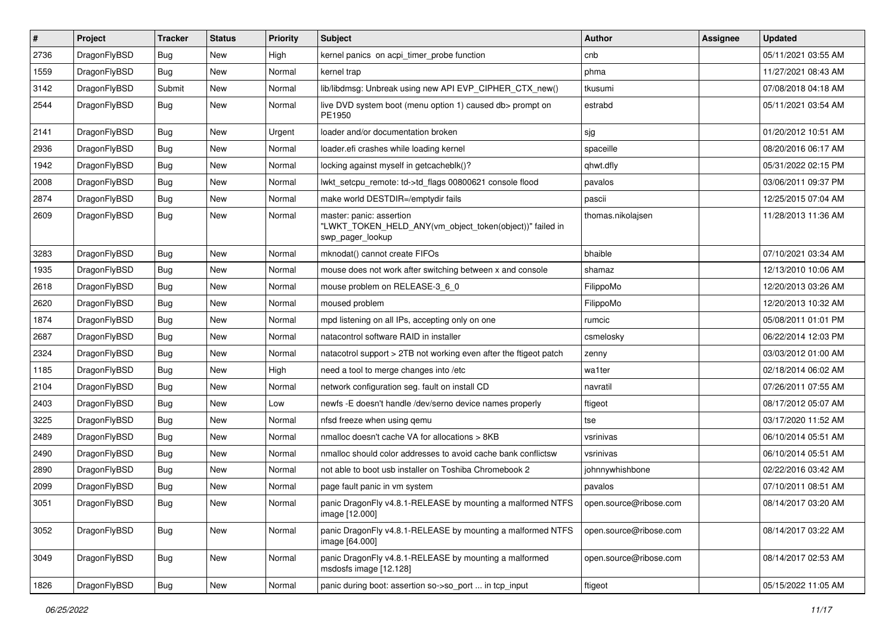| #    | Project      | <b>Tracker</b> | <b>Status</b> | <b>Priority</b> | <b>Subject</b>                                                                                           | Author                 | <b>Assignee</b> | <b>Updated</b>      |
|------|--------------|----------------|---------------|-----------------|----------------------------------------------------------------------------------------------------------|------------------------|-----------------|---------------------|
| 2736 | DragonFlyBSD | Bug            | <b>New</b>    | High            | kernel panics on acpi timer probe function                                                               | cnb                    |                 | 05/11/2021 03:55 AM |
| 1559 | DragonFlyBSD | Bug            | New           | Normal          | kernel trap                                                                                              | phma                   |                 | 11/27/2021 08:43 AM |
| 3142 | DragonFlyBSD | Submit         | New           | Normal          | lib/libdmsg: Unbreak using new API EVP_CIPHER_CTX_new()                                                  | tkusumi                |                 | 07/08/2018 04:18 AM |
| 2544 | DragonFlyBSD | <b>Bug</b>     | New           | Normal          | live DVD system boot (menu option 1) caused db> prompt on<br>PE1950                                      | estrabd                |                 | 05/11/2021 03:54 AM |
| 2141 | DragonFlyBSD | <b>Bug</b>     | New           | Urgent          | loader and/or documentation broken                                                                       | sjg                    |                 | 01/20/2012 10:51 AM |
| 2936 | DragonFlyBSD | <b>Bug</b>     | New           | Normal          | loader.efi crashes while loading kernel                                                                  | spaceille              |                 | 08/20/2016 06:17 AM |
| 1942 | DragonFlyBSD | Bug            | New           | Normal          | locking against myself in getcacheblk()?                                                                 | qhwt.dfly              |                 | 05/31/2022 02:15 PM |
| 2008 | DragonFlyBSD | Bug            | New           | Normal          | lwkt_setcpu_remote: td->td_flags 00800621 console flood                                                  | pavalos                |                 | 03/06/2011 09:37 PM |
| 2874 | DragonFlyBSD | <b>Bug</b>     | New           | Normal          | make world DESTDIR=/emptydir fails                                                                       | pascii                 |                 | 12/25/2015 07:04 AM |
| 2609 | DragonFlyBSD | <b>Bug</b>     | New           | Normal          | master: panic: assertion<br>"LWKT_TOKEN_HELD_ANY(vm_object_token(object))" failed in<br>swp_pager_lookup | thomas.nikolajsen      |                 | 11/28/2013 11:36 AM |
| 3283 | DragonFlyBSD | <b>Bug</b>     | New           | Normal          | mknodat() cannot create FIFOs                                                                            | bhaible                |                 | 07/10/2021 03:34 AM |
| 1935 | DragonFlyBSD | <b>Bug</b>     | <b>New</b>    | Normal          | mouse does not work after switching between x and console                                                | shamaz                 |                 | 12/13/2010 10:06 AM |
| 2618 | DragonFlyBSD | Bug            | New           | Normal          | mouse problem on RELEASE-3 6 0                                                                           | FilippoMo              |                 | 12/20/2013 03:26 AM |
| 2620 | DragonFlyBSD | Bug            | New           | Normal          | moused problem                                                                                           | FilippoMo              |                 | 12/20/2013 10:32 AM |
| 1874 | DragonFlyBSD | <b>Bug</b>     | New           | Normal          | mpd listening on all IPs, accepting only on one                                                          | rumcic                 |                 | 05/08/2011 01:01 PM |
| 2687 | DragonFlyBSD | <b>Bug</b>     | New           | Normal          | natacontrol software RAID in installer                                                                   | csmelosky              |                 | 06/22/2014 12:03 PM |
| 2324 | DragonFlyBSD | <b>Bug</b>     | New           | Normal          | natacotrol support > 2TB not working even after the ftigeot patch                                        | zenny                  |                 | 03/03/2012 01:00 AM |
| 1185 | DragonFlyBSD | Bug            | New           | High            | need a tool to merge changes into /etc                                                                   | wa1ter                 |                 | 02/18/2014 06:02 AM |
| 2104 | DragonFlyBSD | Bug            | New           | Normal          | network configuration seg. fault on install CD                                                           | navratil               |                 | 07/26/2011 07:55 AM |
| 2403 | DragonFlyBSD | <b>Bug</b>     | New           | Low             | newfs -E doesn't handle /dev/serno device names properly                                                 | ftigeot                |                 | 08/17/2012 05:07 AM |
| 3225 | DragonFlyBSD | <b>Bug</b>     | New           | Normal          | nfsd freeze when using gemu                                                                              | tse                    |                 | 03/17/2020 11:52 AM |
| 2489 | DragonFlyBSD | <b>Bug</b>     | New           | Normal          | nmalloc doesn't cache VA for allocations > 8KB                                                           | vsrinivas              |                 | 06/10/2014 05:51 AM |
| 2490 | DragonFlyBSD | Bug            | New           | Normal          | nmalloc should color addresses to avoid cache bank conflictsw                                            | vsrinivas              |                 | 06/10/2014 05:51 AM |
| 2890 | DragonFlyBSD | <b>Bug</b>     | New           | Normal          | not able to boot usb installer on Toshiba Chromebook 2                                                   | johnnywhishbone        |                 | 02/22/2016 03:42 AM |
| 2099 | DragonFlyBSD | <b>Bug</b>     | New           | Normal          | page fault panic in vm system                                                                            | pavalos                |                 | 07/10/2011 08:51 AM |
| 3051 | DragonFlyBSD | Bug            | New           | Normal          | panic DragonFly v4.8.1-RELEASE by mounting a malformed NTFS<br>image [12.000]                            | open.source@ribose.com |                 | 08/14/2017 03:20 AM |
| 3052 | DragonFlyBSD | Bug            | New           | Normal          | panic DragonFly v4.8.1-RELEASE by mounting a malformed NTFS<br>image [64.000]                            | open.source@ribose.com |                 | 08/14/2017 03:22 AM |
| 3049 | DragonFlyBSD | <b>Bug</b>     | New           | Normal          | panic DragonFly v4.8.1-RELEASE by mounting a malformed<br>msdosfs image [12.128]                         | open.source@ribose.com |                 | 08/14/2017 02:53 AM |
| 1826 | DragonFlyBSD | Bug            | New           | Normal          | panic during boot: assertion so->so_port  in tcp_input                                                   | ftigeot                |                 | 05/15/2022 11:05 AM |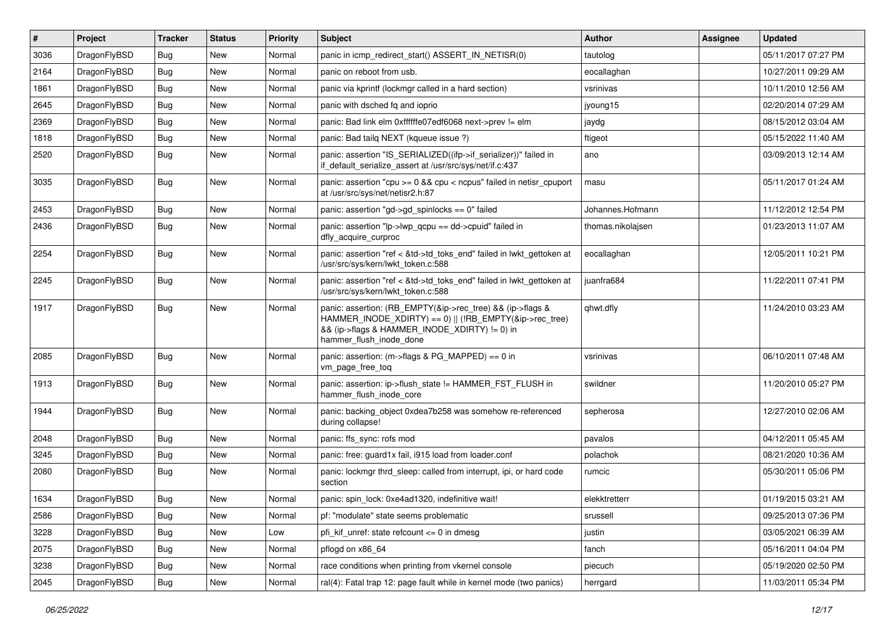| $\#$ | Project      | <b>Tracker</b> | <b>Status</b> | <b>Priority</b> | <b>Subject</b>                                                                                                                                                                                    | <b>Author</b>     | <b>Assignee</b> | <b>Updated</b>      |
|------|--------------|----------------|---------------|-----------------|---------------------------------------------------------------------------------------------------------------------------------------------------------------------------------------------------|-------------------|-----------------|---------------------|
| 3036 | DragonFlyBSD | <b>Bug</b>     | New           | Normal          | panic in icmp redirect start() ASSERT IN NETISR(0)                                                                                                                                                | tautolog          |                 | 05/11/2017 07:27 PM |
| 2164 | DragonFlyBSD | <b>Bug</b>     | <b>New</b>    | Normal          | panic on reboot from usb.                                                                                                                                                                         | eocallaghan       |                 | 10/27/2011 09:29 AM |
| 1861 | DragonFlyBSD | Bug            | New           | Normal          | panic via kprintf (lockmgr called in a hard section)                                                                                                                                              | vsrinivas         |                 | 10/11/2010 12:56 AM |
| 2645 | DragonFlyBSD | Bug            | New           | Normal          | panic with dsched fq and ioprio                                                                                                                                                                   | jyoung15          |                 | 02/20/2014 07:29 AM |
| 2369 | DragonFlyBSD | <b>Bug</b>     | New           | Normal          | panic: Bad link elm 0xffffffe07edf6068 next->prev != elm                                                                                                                                          | jaydg             |                 | 08/15/2012 03:04 AM |
| 1818 | DragonFlyBSD | <b>Bug</b>     | New           | Normal          | panic: Bad tailg NEXT (kqueue issue ?)                                                                                                                                                            | ftigeot           |                 | 05/15/2022 11:40 AM |
| 2520 | DragonFlyBSD | <b>Bug</b>     | New           | Normal          | panic: assertion "IS_SERIALIZED((ifp->if_serializer))" failed in<br>if default serialize assert at /usr/src/sys/net/if.c:437                                                                      | ano               |                 | 03/09/2013 12:14 AM |
| 3035 | DragonFlyBSD | <b>Bug</b>     | New           | Normal          | panic: assertion "cpu $>= 0$ && cpu < ncpus" failed in netisr cpuport<br>at /usr/src/sys/net/netisr2.h:87                                                                                         | masu              |                 | 05/11/2017 01:24 AM |
| 2453 | DragonFlyBSD | Bug            | New           | Normal          | panic: assertion "gd->gd spinlocks == $0$ " failed                                                                                                                                                | Johannes.Hofmann  |                 | 11/12/2012 12:54 PM |
| 2436 | DragonFlyBSD | <b>Bug</b>     | New           | Normal          | panic: assertion "lp->lwp_qcpu == dd->cpuid" failed in<br>dfly_acquire_curproc                                                                                                                    | thomas.nikolajsen |                 | 01/23/2013 11:07 AM |
| 2254 | DragonFlyBSD | Bug            | New           | Normal          | panic: assertion "ref < &td->td_toks_end" failed in lwkt_gettoken at<br>/usr/src/sys/kern/lwkt_token.c:588                                                                                        | eocallaghan       |                 | 12/05/2011 10:21 PM |
| 2245 | DragonFlyBSD | Bug            | New           | Normal          | panic: assertion "ref < &td->td_toks_end" failed in lwkt_gettoken at<br>/usr/src/sys/kern/lwkt_token.c:588                                                                                        | juanfra684        |                 | 11/22/2011 07:41 PM |
| 1917 | DragonFlyBSD | Bug            | <b>New</b>    | Normal          | panic: assertion: (RB EMPTY(&ip->rec tree) && (ip->flags &<br>HAMMER_INODE_XDIRTY) == 0)    (!RB_EMPTY(&ip->rec_tree)<br>&& (ip->flags & HAMMER_INODE_XDIRTY) != 0) in<br>hammer_flush_inode_done | qhwt.dfly         |                 | 11/24/2010 03:23 AM |
| 2085 | DragonFlyBSD | Bug            | New           | Normal          | panic: assertion: $(m\rightarrow$ flags & PG_MAPPED) == 0 in<br>vm_page_free_toq                                                                                                                  | vsrinivas         |                 | 06/10/2011 07:48 AM |
| 1913 | DragonFlyBSD | Bug            | New           | Normal          | panic: assertion: ip->flush_state != HAMMER_FST_FLUSH in<br>hammer flush inode core                                                                                                               | swildner          |                 | 11/20/2010 05:27 PM |
| 1944 | DragonFlyBSD | <b>Bug</b>     | New           | Normal          | panic: backing object 0xdea7b258 was somehow re-referenced<br>during collapse!                                                                                                                    | sepherosa         |                 | 12/27/2010 02:06 AM |
| 2048 | DragonFlyBSD | <b>Bug</b>     | New           | Normal          | panic: ffs sync: rofs mod                                                                                                                                                                         | pavalos           |                 | 04/12/2011 05:45 AM |
| 3245 | DragonFlyBSD | <b>Bug</b>     | <b>New</b>    | Normal          | panic: free: guard1x fail, i915 load from loader.conf                                                                                                                                             | polachok          |                 | 08/21/2020 10:36 AM |
| 2080 | DragonFlyBSD | Bug            | New           | Normal          | panic: lockmgr thrd sleep: called from interrupt, ipi, or hard code<br>section                                                                                                                    | rumcic            |                 | 05/30/2011 05:06 PM |
| 1634 | DragonFlyBSD | <b>Bug</b>     | New           | Normal          | panic: spin lock: 0xe4ad1320, indefinitive wait!                                                                                                                                                  | elekktretterr     |                 | 01/19/2015 03:21 AM |
| 2586 | DragonFlyBSD | Bug            | New           | Normal          | pf: "modulate" state seems problematic                                                                                                                                                            | srussell          |                 | 09/25/2013 07:36 PM |
| 3228 | DragonFlyBSD | <b>Bug</b>     | New           | Low             | pfi_kif_unref: state refcount <= 0 in dmesg                                                                                                                                                       | justin            |                 | 03/05/2021 06:39 AM |
| 2075 | DragonFlyBSD | <b>Bug</b>     | New           | Normal          | pflogd on x86_64                                                                                                                                                                                  | fanch             |                 | 05/16/2011 04:04 PM |
| 3238 | DragonFlyBSD | <b>Bug</b>     | New           | Normal          | race conditions when printing from vkernel console                                                                                                                                                | piecuch           |                 | 05/19/2020 02:50 PM |
| 2045 | DragonFlyBSD | <b>Bug</b>     | New           | Normal          | ral(4): Fatal trap 12: page fault while in kernel mode (two panics)                                                                                                                               | herrgard          |                 | 11/03/2011 05:34 PM |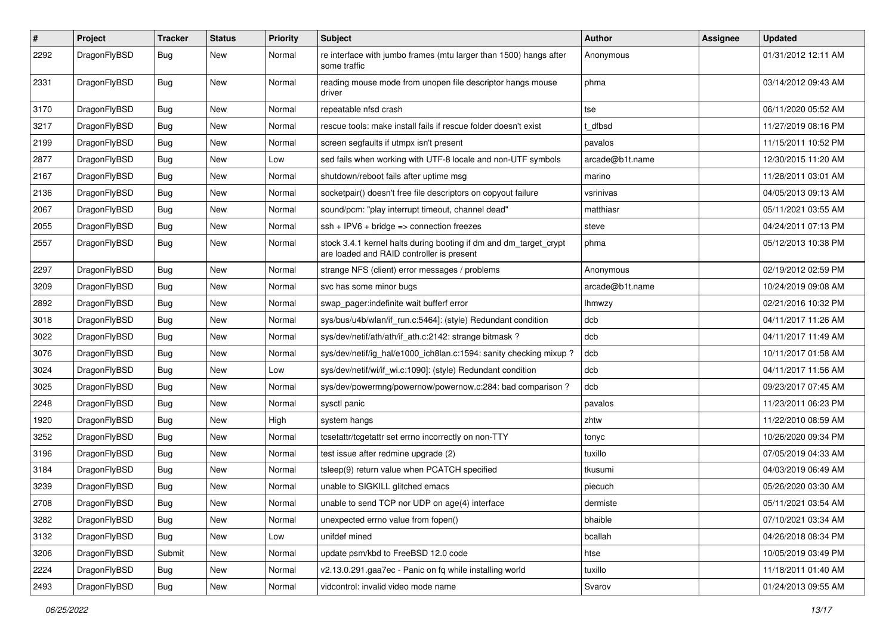| #    | Project      | <b>Tracker</b> | <b>Status</b> | <b>Priority</b> | Subject                                                                                                        | <b>Author</b>   | Assignee | <b>Updated</b>      |
|------|--------------|----------------|---------------|-----------------|----------------------------------------------------------------------------------------------------------------|-----------------|----------|---------------------|
| 2292 | DragonFlyBSD | Bug            | <b>New</b>    | Normal          | re interface with jumbo frames (mtu larger than 1500) hangs after<br>some traffic                              | Anonymous       |          | 01/31/2012 12:11 AM |
| 2331 | DragonFlyBSD | Bug            | <b>New</b>    | Normal          | reading mouse mode from unopen file descriptor hangs mouse<br>driver                                           | phma            |          | 03/14/2012 09:43 AM |
| 3170 | DragonFlyBSD | Bug            | <b>New</b>    | Normal          | repeatable nfsd crash                                                                                          | tse             |          | 06/11/2020 05:52 AM |
| 3217 | DragonFlyBSD | <b>Bug</b>     | New           | Normal          | rescue tools: make install fails if rescue folder doesn't exist                                                | t_dfbsd         |          | 11/27/2019 08:16 PM |
| 2199 | DragonFlyBSD | <b>Bug</b>     | <b>New</b>    | Normal          | screen segfaults if utmpx isn't present                                                                        | pavalos         |          | 11/15/2011 10:52 PM |
| 2877 | DragonFlyBSD | Bug            | <b>New</b>    | Low             | sed fails when working with UTF-8 locale and non-UTF symbols                                                   | arcade@b1t.name |          | 12/30/2015 11:20 AM |
| 2167 | DragonFlyBSD | <b>Bug</b>     | New           | Normal          | shutdown/reboot fails after uptime msg                                                                         | marino          |          | 11/28/2011 03:01 AM |
| 2136 | DragonFlyBSD | Bug            | <b>New</b>    | Normal          | socketpair() doesn't free file descriptors on copyout failure                                                  | vsrinivas       |          | 04/05/2013 09:13 AM |
| 2067 | DragonFlyBSD | <b>Bug</b>     | New           | Normal          | sound/pcm: "play interrupt timeout, channel dead"                                                              | matthiasr       |          | 05/11/2021 03:55 AM |
| 2055 | DragonFlyBSD | <b>Bug</b>     | <b>New</b>    | Normal          | $ssh + IPV6 + bridge \Rightarrow connection freezes$                                                           | steve           |          | 04/24/2011 07:13 PM |
| 2557 | DragonFlyBSD | Bug            | New           | Normal          | stock 3.4.1 kernel halts during booting if dm and dm_target_crypt<br>are loaded and RAID controller is present | phma            |          | 05/12/2013 10:38 PM |
| 2297 | DragonFlyBSD | Bug            | <b>New</b>    | Normal          | strange NFS (client) error messages / problems                                                                 | Anonymous       |          | 02/19/2012 02:59 PM |
| 3209 | DragonFlyBSD | Bug            | New           | Normal          | svc has some minor bugs                                                                                        | arcade@b1t.name |          | 10/24/2019 09:08 AM |
| 2892 | DragonFlyBSD | <b>Bug</b>     | New           | Normal          | swap_pager:indefinite wait bufferf error                                                                       | lhmwzy          |          | 02/21/2016 10:32 PM |
| 3018 | DragonFlyBSD | <b>Bug</b>     | <b>New</b>    | Normal          | sys/bus/u4b/wlan/if_run.c:5464]: (style) Redundant condition                                                   | dcb             |          | 04/11/2017 11:26 AM |
| 3022 | DragonFlyBSD | <b>Bug</b>     | New           | Normal          | sys/dev/netif/ath/ath/if ath.c:2142: strange bitmask?                                                          | dcb             |          | 04/11/2017 11:49 AM |
| 3076 | DragonFlyBSD | <b>Bug</b>     | <b>New</b>    | Normal          | sys/dev/netif/ig_hal/e1000_ich8lan.c:1594: sanity checking mixup?                                              | dcb             |          | 10/11/2017 01:58 AM |
| 3024 | DragonFlyBSD | <b>Bug</b>     | New           | Low             | sys/dev/netif/wi/if_wi.c:1090]: (style) Redundant condition                                                    | dcb             |          | 04/11/2017 11:56 AM |
| 3025 | DragonFlyBSD | <b>Bug</b>     | New           | Normal          | sys/dev/powermng/powernow/powernow.c:284: bad comparison?                                                      | dcb             |          | 09/23/2017 07:45 AM |
| 2248 | DragonFlyBSD | <b>Bug</b>     | <b>New</b>    | Normal          | sysctl panic                                                                                                   | pavalos         |          | 11/23/2011 06:23 PM |
| 1920 | DragonFlyBSD | <b>Bug</b>     | New           | High            | system hangs                                                                                                   | zhtw            |          | 11/22/2010 08:59 AM |
| 3252 | DragonFlyBSD | <b>Bug</b>     | New           | Normal          | tcsetattr/tcgetattr set errno incorrectly on non-TTY                                                           | tonyc           |          | 10/26/2020 09:34 PM |
| 3196 | DragonFlyBSD | <b>Bug</b>     | New           | Normal          | test issue after redmine upgrade (2)                                                                           | tuxillo         |          | 07/05/2019 04:33 AM |
| 3184 | DragonFlyBSD | <b>Bug</b>     | <b>New</b>    | Normal          | tsleep(9) return value when PCATCH specified                                                                   | tkusumi         |          | 04/03/2019 06:49 AM |
| 3239 | DragonFlyBSD | <b>Bug</b>     | <b>New</b>    | Normal          | unable to SIGKILL glitched emacs                                                                               | piecuch         |          | 05/26/2020 03:30 AM |
| 2708 | DragonFlyBSD | Bug            | New           | Normal          | unable to send TCP nor UDP on age(4) interface                                                                 | dermiste        |          | 05/11/2021 03:54 AM |
| 3282 | DragonFlyBSD | Bug            | New           | Normal          | unexpected errno value from fopen()                                                                            | bhaible         |          | 07/10/2021 03:34 AM |
| 3132 | DragonFlyBSD | Bug            | New           | Low             | unifdef mined                                                                                                  | bcallah         |          | 04/26/2018 08:34 PM |
| 3206 | DragonFlyBSD | Submit         | New           | Normal          | update psm/kbd to FreeBSD 12.0 code                                                                            | htse            |          | 10/05/2019 03:49 PM |
| 2224 | DragonFlyBSD | <b>Bug</b>     | <b>New</b>    | Normal          | v2.13.0.291.gaa7ec - Panic on fq while installing world                                                        | tuxillo         |          | 11/18/2011 01:40 AM |
| 2493 | DragonFlyBSD | <b>Bug</b>     | New           | Normal          | vidcontrol: invalid video mode name                                                                            | Svarov          |          | 01/24/2013 09:55 AM |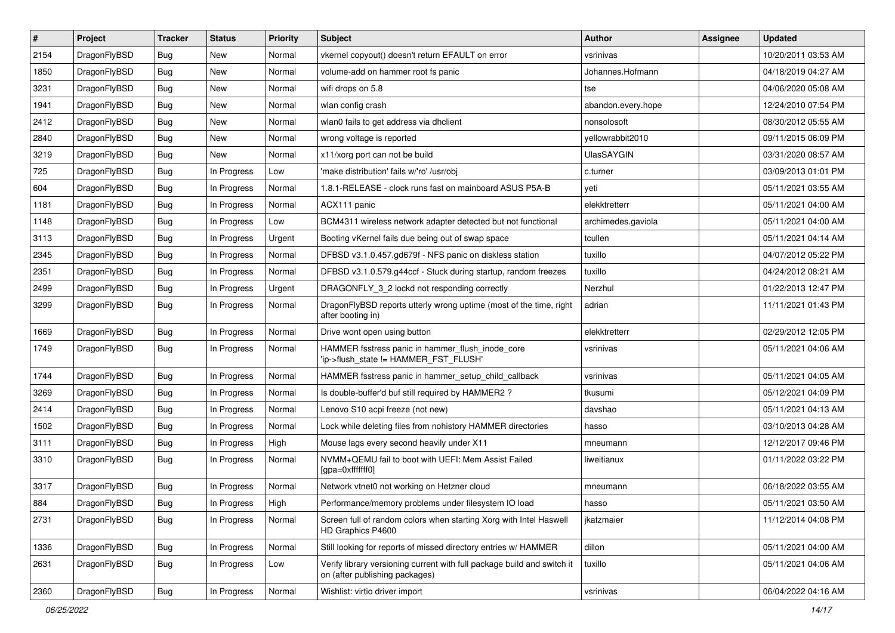| $\sharp$ | Project      | <b>Tracker</b> | <b>Status</b> | <b>Priority</b> | Subject                                                                                                   | <b>Author</b>      | Assignee | <b>Updated</b>      |
|----------|--------------|----------------|---------------|-----------------|-----------------------------------------------------------------------------------------------------------|--------------------|----------|---------------------|
| 2154     | DragonFlyBSD | <b>Bug</b>     | <b>New</b>    | Normal          | vkernel copyout() doesn't return EFAULT on error                                                          | vsrinivas          |          | 10/20/2011 03:53 AM |
| 1850     | DragonFlyBSD | Bug            | New           | Normal          | volume-add on hammer root fs panic                                                                        | Johannes.Hofmann   |          | 04/18/2019 04:27 AM |
| 3231     | DragonFlyBSD | <b>Bug</b>     | New           | Normal          | wifi drops on 5.8                                                                                         | tse                |          | 04/06/2020 05:08 AM |
| 1941     | DragonFlyBSD | <b>Bug</b>     | New           | Normal          | wlan config crash                                                                                         | abandon.every.hope |          | 12/24/2010 07:54 PM |
| 2412     | DragonFlyBSD | Bug            | <b>New</b>    | Normal          | wlan0 fails to get address via dhclient                                                                   | nonsolosoft        |          | 08/30/2012 05:55 AM |
| 2840     | DragonFlyBSD | <b>Bug</b>     | <b>New</b>    | Normal          | wrong voltage is reported                                                                                 | yellowrabbit2010   |          | 09/11/2015 06:09 PM |
| 3219     | DragonFlyBSD | <b>Bug</b>     | <b>New</b>    | Normal          | x11/xorg port can not be build                                                                            | <b>UlasSAYGIN</b>  |          | 03/31/2020 08:57 AM |
| 725      | DragonFlyBSD | <b>Bug</b>     | In Progress   | Low             | 'make distribution' fails w/'ro' /usr/obj                                                                 | c.turner           |          | 03/09/2013 01:01 PM |
| 604      | DragonFlyBSD | <b>Bug</b>     | In Progress   | Normal          | 1.8.1-RELEASE - clock runs fast on mainboard ASUS P5A-B                                                   | yeti               |          | 05/11/2021 03:55 AM |
| 1181     | DragonFlyBSD | Bug            | In Progress   | Normal          | ACX111 panic                                                                                              | elekktretterr      |          | 05/11/2021 04:00 AM |
| 1148     | DragonFlyBSD | <b>Bug</b>     | In Progress   | Low             | BCM4311 wireless network adapter detected but not functional                                              | archimedes.gaviola |          | 05/11/2021 04:00 AM |
| 3113     | DragonFlyBSD | <b>Bug</b>     | In Progress   | Urgent          | Booting vKernel fails due being out of swap space                                                         | tcullen            |          | 05/11/2021 04:14 AM |
| 2345     | DragonFlyBSD | <b>Bug</b>     | In Progress   | Normal          | DFBSD v3.1.0.457.gd679f - NFS panic on diskless station                                                   | tuxillo            |          | 04/07/2012 05:22 PM |
| 2351     | DragonFlyBSD | <b>Bug</b>     | In Progress   | Normal          | DFBSD v3.1.0.579.g44ccf - Stuck during startup, random freezes                                            | tuxillo            |          | 04/24/2012 08:21 AM |
| 2499     | DragonFlyBSD | Bug            | In Progress   | Urgent          | DRAGONFLY_3_2 lockd not responding correctly                                                              | Nerzhul            |          | 01/22/2013 12:47 PM |
| 3299     | DragonFlyBSD | <b>Bug</b>     | In Progress   | Normal          | DragonFlyBSD reports utterly wrong uptime (most of the time, right<br>after booting in)                   | adrian             |          | 11/11/2021 01:43 PM |
| 1669     | DragonFlyBSD | Bug            | In Progress   | Normal          | Drive wont open using button                                                                              | elekktretterr      |          | 02/29/2012 12:05 PM |
| 1749     | DragonFlyBSD | <b>Bug</b>     | In Progress   | Normal          | HAMMER fsstress panic in hammer_flush_inode_core<br>'ip->flush_state != HAMMER_FST_FLUSH'                 | vsrinivas          |          | 05/11/2021 04:06 AM |
| 1744     | DragonFlyBSD | Bug            | In Progress   | Normal          | HAMMER fsstress panic in hammer_setup_child_callback                                                      | vsrinivas          |          | 05/11/2021 04:05 AM |
| 3269     | DragonFlyBSD | <b>Bug</b>     | In Progress   | Normal          | Is double-buffer'd buf still required by HAMMER2 ?                                                        | tkusumi            |          | 05/12/2021 04:09 PM |
| 2414     | DragonFlyBSD | Bug            | In Progress   | Normal          | Lenovo S10 acpi freeze (not new)                                                                          | davshao            |          | 05/11/2021 04:13 AM |
| 1502     | DragonFlyBSD | <b>Bug</b>     | In Progress   | Normal          | Lock while deleting files from nohistory HAMMER directories                                               | hasso              |          | 03/10/2013 04:28 AM |
| 3111     | DragonFlyBSD | <b>Bug</b>     | In Progress   | High            | Mouse lags every second heavily under X11                                                                 | mneumann           |          | 12/12/2017 09:46 PM |
| 3310     | DragonFlyBSD | Bug            | In Progress   | Normal          | NVMM+QEMU fail to boot with UEFI: Mem Assist Failed<br>[gpa=0xfffffff0]                                   | liweitianux        |          | 01/11/2022 03:22 PM |
| 3317     | DragonFlyBSD | Bug            | In Progress   | Normal          | Network vtnet0 not working on Hetzner cloud                                                               | mneumann           |          | 06/18/2022 03:55 AM |
| 884      | DragonFlyBSD | Bug            | In Progress   | High            | Performance/memory problems under filesystem IO load                                                      | hasso              |          | 05/11/2021 03:50 AM |
| 2731     | DragonFlyBSD | Bug            | In Progress   | Normal          | Screen full of random colors when starting Xorg with Intel Haswell<br>HD Graphics P4600                   | jkatzmaier         |          | 11/12/2014 04:08 PM |
| 1336     | DragonFlyBSD | Bug            | In Progress   | Normal          | Still looking for reports of missed directory entries w/ HAMMER                                           | dillon             |          | 05/11/2021 04:00 AM |
| 2631     | DragonFlyBSD | <b>Bug</b>     | In Progress   | Low             | Verify library versioning current with full package build and switch it<br>on (after publishing packages) | tuxillo            |          | 05/11/2021 04:06 AM |
| 2360     | DragonFlyBSD | Bug            | In Progress   | Normal          | Wishlist: virtio driver import                                                                            | vsrinivas          |          | 06/04/2022 04:16 AM |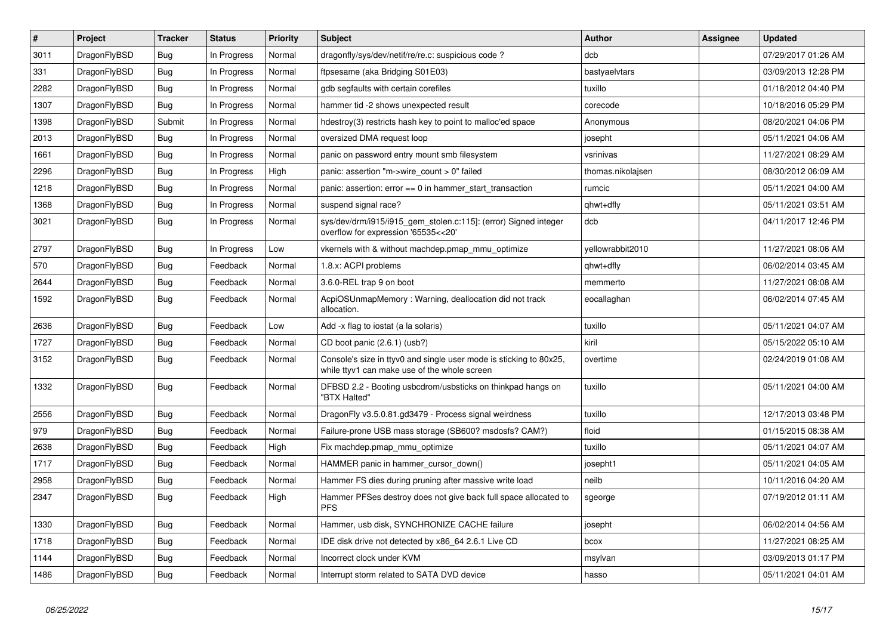| $\vert$ # | <b>Project</b> | <b>Tracker</b> | <b>Status</b> | Priority | <b>Subject</b>                                                                                                     | Author            | Assignee | <b>Updated</b>      |
|-----------|----------------|----------------|---------------|----------|--------------------------------------------------------------------------------------------------------------------|-------------------|----------|---------------------|
| 3011      | DragonFlyBSD   | <b>Bug</b>     | In Progress   | Normal   | dragonfly/sys/dev/netif/re/re.c: suspicious code?                                                                  | dcb               |          | 07/29/2017 01:26 AM |
| 331       | DragonFlyBSD   | <b>Bug</b>     | In Progress   | Normal   | ftpsesame (aka Bridging S01E03)                                                                                    | bastyaelvtars     |          | 03/09/2013 12:28 PM |
| 2282      | DragonFlyBSD   | <b>Bug</b>     | In Progress   | Normal   | gdb segfaults with certain corefiles                                                                               | tuxillo           |          | 01/18/2012 04:40 PM |
| 1307      | DragonFlyBSD   | Bug            | In Progress   | Normal   | hammer tid -2 shows unexpected result                                                                              | corecode          |          | 10/18/2016 05:29 PM |
| 1398      | DragonFlyBSD   | Submit         | In Progress   | Normal   | hdestroy(3) restricts hash key to point to malloc'ed space                                                         | Anonymous         |          | 08/20/2021 04:06 PM |
| 2013      | DragonFlyBSD   | Bug            | In Progress   | Normal   | oversized DMA request loop                                                                                         | josepht           |          | 05/11/2021 04:06 AM |
| 1661      | DragonFlyBSD   | <b>Bug</b>     | In Progress   | Normal   | panic on password entry mount smb filesystem                                                                       | vsrinivas         |          | 11/27/2021 08:29 AM |
| 2296      | DragonFlyBSD   | Bug            | In Progress   | High     | panic: assertion "m->wire count > 0" failed                                                                        | thomas.nikolajsen |          | 08/30/2012 06:09 AM |
| 1218      | DragonFlyBSD   | <b>Bug</b>     | In Progress   | Normal   | panic: assertion: error == 0 in hammer_start_transaction                                                           | rumcic            |          | 05/11/2021 04:00 AM |
| 1368      | DragonFlyBSD   | Bug            | In Progress   | Normal   | suspend signal race?                                                                                               | qhwt+dfly         |          | 05/11/2021 03:51 AM |
| 3021      | DragonFlyBSD   | <b>Bug</b>     | In Progress   | Normal   | sys/dev/drm/i915/i915_gem_stolen.c:115]: (error) Signed integer<br>overflow for expression '65535<<20'             | dcb               |          | 04/11/2017 12:46 PM |
| 2797      | DragonFlyBSD   | <b>Bug</b>     | In Progress   | Low      | vkernels with & without machdep.pmap_mmu_optimize                                                                  | yellowrabbit2010  |          | 11/27/2021 08:06 AM |
| 570       | DragonFlyBSD   | Bug            | Feedback      | Normal   | 1.8.x: ACPI problems                                                                                               | qhwt+dfly         |          | 06/02/2014 03:45 AM |
| 2644      | DragonFlyBSD   | Bug            | Feedback      | Normal   | 3.6.0-REL trap 9 on boot                                                                                           | memmerto          |          | 11/27/2021 08:08 AM |
| 1592      | DragonFlyBSD   | <b>Bug</b>     | Feedback      | Normal   | AcpiOSUnmapMemory: Warning, deallocation did not track<br>allocation.                                              | eocallaghan       |          | 06/02/2014 07:45 AM |
| 2636      | DragonFlyBSD   | <b>Bug</b>     | Feedback      | Low      | Add -x flag to iostat (a la solaris)                                                                               | tuxillo           |          | 05/11/2021 04:07 AM |
| 1727      | DragonFlyBSD   | <b>Bug</b>     | Feedback      | Normal   | CD boot panic (2.6.1) (usb?)                                                                                       | kiril             |          | 05/15/2022 05:10 AM |
| 3152      | DragonFlyBSD   | <b>Bug</b>     | Feedback      | Normal   | Console's size in ttyv0 and single user mode is sticking to 80x25,<br>while ttyv1 can make use of the whole screen | overtime          |          | 02/24/2019 01:08 AM |
| 1332      | DragonFlyBSD   | <b>Bug</b>     | Feedback      | Normal   | DFBSD 2.2 - Booting usbcdrom/usbsticks on thinkpad hangs on<br>"BTX Halted"                                        | tuxillo           |          | 05/11/2021 04:00 AM |
| 2556      | DragonFlyBSD   | Bug            | Feedback      | Normal   | DragonFly v3.5.0.81.gd3479 - Process signal weirdness                                                              | tuxillo           |          | 12/17/2013 03:48 PM |
| 979       | DragonFlyBSD   | <b>Bug</b>     | Feedback      | Normal   | Failure-prone USB mass storage (SB600? msdosfs? CAM?)                                                              | floid             |          | 01/15/2015 08:38 AM |
| 2638      | DragonFlyBSD   | <b>Bug</b>     | Feedback      | High     | Fix machdep.pmap_mmu_optimize                                                                                      | tuxillo           |          | 05/11/2021 04:07 AM |
| 1717      | DragonFlyBSD   | Bug            | Feedback      | Normal   | HAMMER panic in hammer cursor down()                                                                               | josepht1          |          | 05/11/2021 04:05 AM |
| 2958      | DragonFlyBSD   | Bug            | Feedback      | Normal   | Hammer FS dies during pruning after massive write load                                                             | neilb             |          | 10/11/2016 04:20 AM |
| 2347      | DragonFlyBSD   | <b>Bug</b>     | Feedback      | High     | Hammer PFSes destroy does not give back full space allocated to<br><b>PFS</b>                                      | sgeorge           |          | 07/19/2012 01:11 AM |
| 1330      | DragonFlyBSD   | <b>Bug</b>     | Feedback      | Normal   | Hammer, usb disk, SYNCHRONIZE CACHE failure                                                                        | josepht           |          | 06/02/2014 04:56 AM |
| 1718      | DragonFlyBSD   | Bug            | Feedback      | Normal   | IDE disk drive not detected by x86 64 2.6.1 Live CD                                                                | bcox              |          | 11/27/2021 08:25 AM |
| 1144      | DragonFlyBSD   | Bug            | Feedback      | Normal   | Incorrect clock under KVM                                                                                          | msylvan           |          | 03/09/2013 01:17 PM |
| 1486      | DragonFlyBSD   | <b>Bug</b>     | Feedback      | Normal   | Interrupt storm related to SATA DVD device                                                                         | hasso             |          | 05/11/2021 04:01 AM |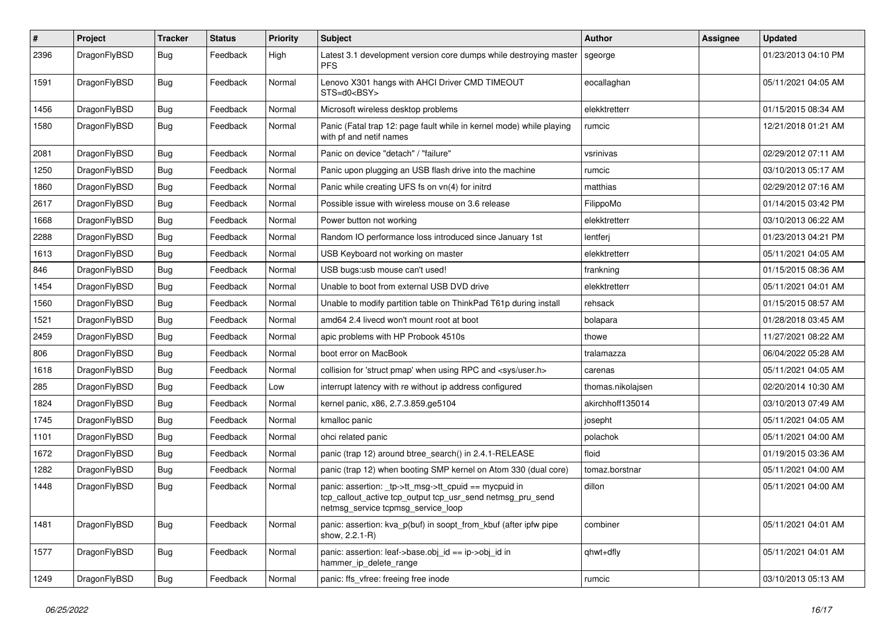| $\sharp$ | Project      | <b>Tracker</b> | <b>Status</b> | <b>Priority</b> | Subject                                                                                                                                                   | <b>Author</b>     | <b>Assignee</b> | <b>Updated</b>      |
|----------|--------------|----------------|---------------|-----------------|-----------------------------------------------------------------------------------------------------------------------------------------------------------|-------------------|-----------------|---------------------|
| 2396     | DragonFlyBSD | <b>Bug</b>     | Feedback      | High            | Latest 3.1 development version core dumps while destroying master<br><b>PFS</b>                                                                           | sgeorge           |                 | 01/23/2013 04:10 PM |
| 1591     | DragonFlyBSD | Bug            | Feedback      | Normal          | Lenovo X301 hangs with AHCI Driver CMD TIMEOUT<br>STS=d0 <bsy></bsy>                                                                                      | eocallaghan       |                 | 05/11/2021 04:05 AM |
| 1456     | DragonFlyBSD | Bug            | Feedback      | Normal          | Microsoft wireless desktop problems                                                                                                                       | elekktretterr     |                 | 01/15/2015 08:34 AM |
| 1580     | DragonFlyBSD | Bug            | Feedback      | Normal          | Panic (Fatal trap 12: page fault while in kernel mode) while playing<br>with pf and netif names                                                           | rumcic            |                 | 12/21/2018 01:21 AM |
| 2081     | DragonFlyBSD | Bug            | Feedback      | Normal          | Panic on device "detach" / "failure"                                                                                                                      | vsrinivas         |                 | 02/29/2012 07:11 AM |
| 1250     | DragonFlyBSD | <b>Bug</b>     | Feedback      | Normal          | Panic upon plugging an USB flash drive into the machine                                                                                                   | rumcic            |                 | 03/10/2013 05:17 AM |
| 1860     | DragonFlyBSD | Bug            | Feedback      | Normal          | Panic while creating UFS fs on vn(4) for initrd                                                                                                           | matthias          |                 | 02/29/2012 07:16 AM |
| 2617     | DragonFlyBSD | <b>Bug</b>     | Feedback      | Normal          | Possible issue with wireless mouse on 3.6 release                                                                                                         | FilippoMo         |                 | 01/14/2015 03:42 PM |
| 1668     | DragonFlyBSD | <b>Bug</b>     | Feedback      | Normal          | Power button not working                                                                                                                                  | elekktretterr     |                 | 03/10/2013 06:22 AM |
| 2288     | DragonFlyBSD | <b>Bug</b>     | Feedback      | Normal          | Random IO performance loss introduced since January 1st                                                                                                   | lentferj          |                 | 01/23/2013 04:21 PM |
| 1613     | DragonFlyBSD | Bug            | Feedback      | Normal          | USB Keyboard not working on master                                                                                                                        | elekktretterr     |                 | 05/11/2021 04:05 AM |
| 846      | DragonFlyBSD | Bug            | Feedback      | Normal          | USB bugs:usb mouse can't used!                                                                                                                            | frankning         |                 | 01/15/2015 08:36 AM |
| 1454     | DragonFlyBSD | Bug            | Feedback      | Normal          | Unable to boot from external USB DVD drive                                                                                                                | elekktretterr     |                 | 05/11/2021 04:01 AM |
| 1560     | DragonFlyBSD | Bug            | Feedback      | Normal          | Unable to modify partition table on ThinkPad T61p during install                                                                                          | rehsack           |                 | 01/15/2015 08:57 AM |
| 1521     | DragonFlyBSD | Bug            | Feedback      | Normal          | amd64 2.4 livecd won't mount root at boot                                                                                                                 | bolapara          |                 | 01/28/2018 03:45 AM |
| 2459     | DragonFlyBSD | Bug            | Feedback      | Normal          | apic problems with HP Probook 4510s                                                                                                                       | thowe             |                 | 11/27/2021 08:22 AM |
| 806      | DragonFlyBSD | Bug            | Feedback      | Normal          | boot error on MacBook                                                                                                                                     | tralamazza        |                 | 06/04/2022 05:28 AM |
| 1618     | DragonFlyBSD | Bug            | Feedback      | Normal          | collision for 'struct pmap' when using RPC and <sys user.h=""></sys>                                                                                      | carenas           |                 | 05/11/2021 04:05 AM |
| 285      | DragonFlyBSD | Bug            | Feedback      | Low             | interrupt latency with re without ip address configured                                                                                                   | thomas.nikolajsen |                 | 02/20/2014 10:30 AM |
| 1824     | DragonFlyBSD | Bug            | Feedback      | Normal          | kernel panic, x86, 2.7.3.859.ge5104                                                                                                                       | akirchhoff135014  |                 | 03/10/2013 07:49 AM |
| 1745     | DragonFlyBSD | Bug            | Feedback      | Normal          | kmalloc panic                                                                                                                                             | josepht           |                 | 05/11/2021 04:05 AM |
| 1101     | DragonFlyBSD | Bug            | Feedback      | Normal          | ohci related panic                                                                                                                                        | polachok          |                 | 05/11/2021 04:00 AM |
| 1672     | DragonFlyBSD | <b>Bug</b>     | Feedback      | Normal          | panic (trap 12) around btree search() in 2.4.1-RELEASE                                                                                                    | floid             |                 | 01/19/2015 03:36 AM |
| 1282     | DragonFlyBSD | <b>Bug</b>     | Feedback      | Normal          | panic (trap 12) when booting SMP kernel on Atom 330 (dual core)                                                                                           | tomaz.borstnar    |                 | 05/11/2021 04:00 AM |
| 1448     | DragonFlyBSD | Bug            | Feedback      | Normal          | panic: assertion: _tp->tt_msg->tt_cpuid == mycpuid in<br>tcp_callout_active tcp_output tcp_usr_send netmsg_pru_send<br>netmsg_service tcpmsg_service_ioop | dillon            |                 | 05/11/2021 04:00 AM |
| 1481     | DragonFlyBSD | <b>Bug</b>     | Feedback      | Normal          | panic: assertion: kva p(buf) in soopt from kbuf (after ipfw pipe<br>show, 2.2.1-R)                                                                        | combiner          |                 | 05/11/2021 04:01 AM |
| 1577     | DragonFlyBSD | <b>Bug</b>     | Feedback      | Normal          | panic: assertion: leaf->base.obj_id == ip->obj_id in<br>hammer_ip_delete_range                                                                            | qhwt+dfly         |                 | 05/11/2021 04:01 AM |
| 1249     | DragonFlyBSD | Bug            | Feedback      | Normal          | panic: ffs_vfree: freeing free inode                                                                                                                      | rumcic            |                 | 03/10/2013 05:13 AM |